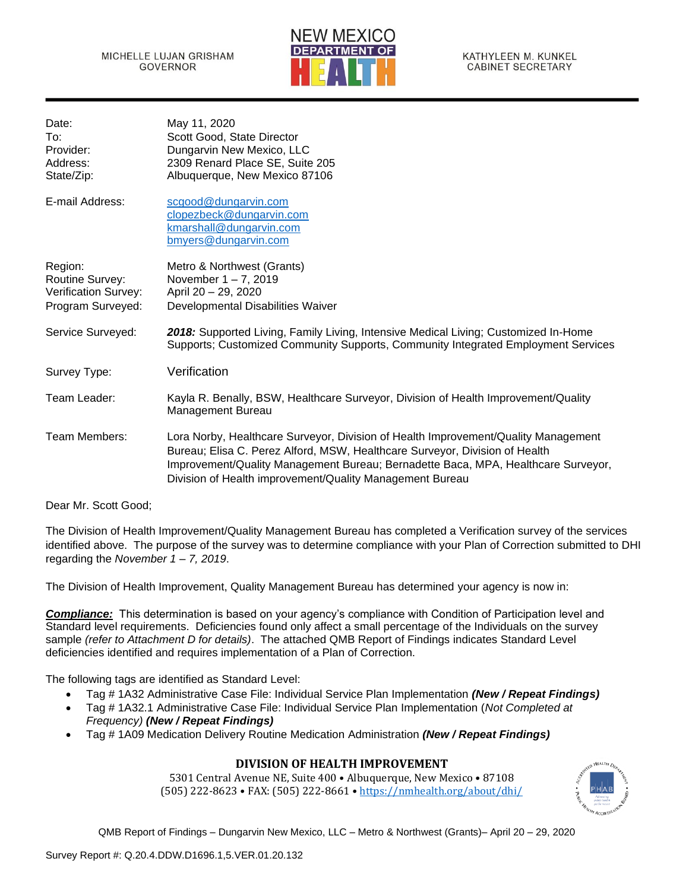

| May 11, 2020                                                                                                                                                                                                                                                                                                       |
|--------------------------------------------------------------------------------------------------------------------------------------------------------------------------------------------------------------------------------------------------------------------------------------------------------------------|
| Scott Good, State Director                                                                                                                                                                                                                                                                                         |
| Dungarvin New Mexico, LLC                                                                                                                                                                                                                                                                                          |
| 2309 Renard Place SE, Suite 205                                                                                                                                                                                                                                                                                    |
| Albuquerque, New Mexico 87106                                                                                                                                                                                                                                                                                      |
| scgood@dungarvin.com<br>clopezbeck@dungarvin.com<br>kmarshall@dungarvin.com<br>bmyers@dungarvin.com                                                                                                                                                                                                                |
| Metro & Northwest (Grants)                                                                                                                                                                                                                                                                                         |
| November $1 - 7$ , 2019                                                                                                                                                                                                                                                                                            |
| April 20 - 29, 2020                                                                                                                                                                                                                                                                                                |
| Developmental Disabilities Waiver                                                                                                                                                                                                                                                                                  |
| 2018: Supported Living, Family Living, Intensive Medical Living; Customized In-Home<br>Supports; Customized Community Supports, Community Integrated Employment Services                                                                                                                                           |
| Verification                                                                                                                                                                                                                                                                                                       |
| Kayla R. Benally, BSW, Healthcare Surveyor, Division of Health Improvement/Quality<br><b>Management Bureau</b>                                                                                                                                                                                                     |
| Lora Norby, Healthcare Surveyor, Division of Health Improvement/Quality Management<br>Bureau; Elisa C. Perez Alford, MSW, Healthcare Surveyor, Division of Health<br>Improvement/Quality Management Bureau; Bernadette Baca, MPA, Healthcare Surveyor,<br>Division of Health improvement/Quality Management Bureau |
|                                                                                                                                                                                                                                                                                                                    |

Dear Mr. Scott Good;

The Division of Health Improvement/Quality Management Bureau has completed a Verification survey of the services identified above. The purpose of the survey was to determine compliance with your Plan of Correction submitted to DHI regarding the *November 1 – 7, 2019*.

The Division of Health Improvement, Quality Management Bureau has determined your agency is now in:

*Compliance:* This determination is based on your agency's compliance with Condition of Participation level and Standard level requirements. Deficiencies found only affect a small percentage of the Individuals on the survey sample *(refer to Attachment D for details)*. The attached QMB Report of Findings indicates Standard Level deficiencies identified and requires implementation of a Plan of Correction.

The following tags are identified as Standard Level:

- Tag # 1A32 Administrative Case File: Individual Service Plan Implementation *(New / Repeat Findings)*
- Tag # 1A32.1 Administrative Case File: Individual Service Plan Implementation (*Not Completed at Frequency) (New / Repeat Findings)*
- Tag # 1A09 Medication Delivery Routine Medication Administration *(New / Repeat Findings)*

# **DIVISION OF HEALTH IMPROVEMENT**

5301 Central Avenue NE, Suite 400 • Albuquerque, New Mexico • 87108 (505) 222-8623 • FAX: (505) 222-8661 • <https://nmhealth.org/about/dhi/>

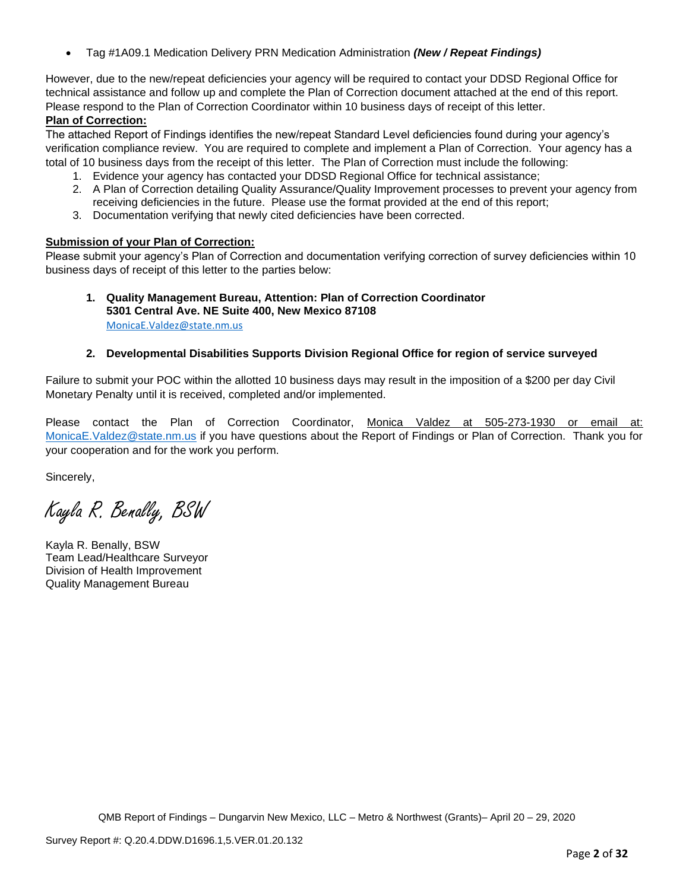• Tag #1A09.1 Medication Delivery PRN Medication Administration *(New / Repeat Findings)*

However, due to the new/repeat deficiencies your agency will be required to contact your DDSD Regional Office for technical assistance and follow up and complete the Plan of Correction document attached at the end of this report. Please respond to the Plan of Correction Coordinator within 10 business days of receipt of this letter.

# **Plan of Correction:**

The attached Report of Findings identifies the new/repeat Standard Level deficiencies found during your agency's verification compliance review. You are required to complete and implement a Plan of Correction. Your agency has a total of 10 business days from the receipt of this letter. The Plan of Correction must include the following:

- 1. Evidence your agency has contacted your DDSD Regional Office for technical assistance;
- 2. A Plan of Correction detailing Quality Assurance/Quality Improvement processes to prevent your agency from receiving deficiencies in the future. Please use the format provided at the end of this report;
- 3. Documentation verifying that newly cited deficiencies have been corrected.

# **Submission of your Plan of Correction:**

Please submit your agency's Plan of Correction and documentation verifying correction of survey deficiencies within 10 business days of receipt of this letter to the parties below:

### **1. Quality Management Bureau, Attention: Plan of Correction Coordinator 5301 Central Ave. NE Suite 400, New Mexico 87108** [MonicaE.Valdez@state.nm.us](mailto:MonicaE.Valdez@state.nm.us)

# **2. Developmental Disabilities Supports Division Regional Office for region of service surveyed**

Failure to submit your POC within the allotted 10 business days may result in the imposition of a \$200 per day Civil Monetary Penalty until it is received, completed and/or implemented.

Please contact the Plan of Correction Coordinator, Monica Valdez at 505-273-1930 or email at: [MonicaE.Valdez@state.nm.us](mailto:MonicaE.Valdez@state.nm.us) if you have questions about the Report of Findings or Plan of Correction. Thank you for your cooperation and for the work you perform.

Sincerely,

Kayla R. Benally, BSW

Kayla R. Benally, BSW Team Lead/Healthcare Surveyor Division of Health Improvement Quality Management Bureau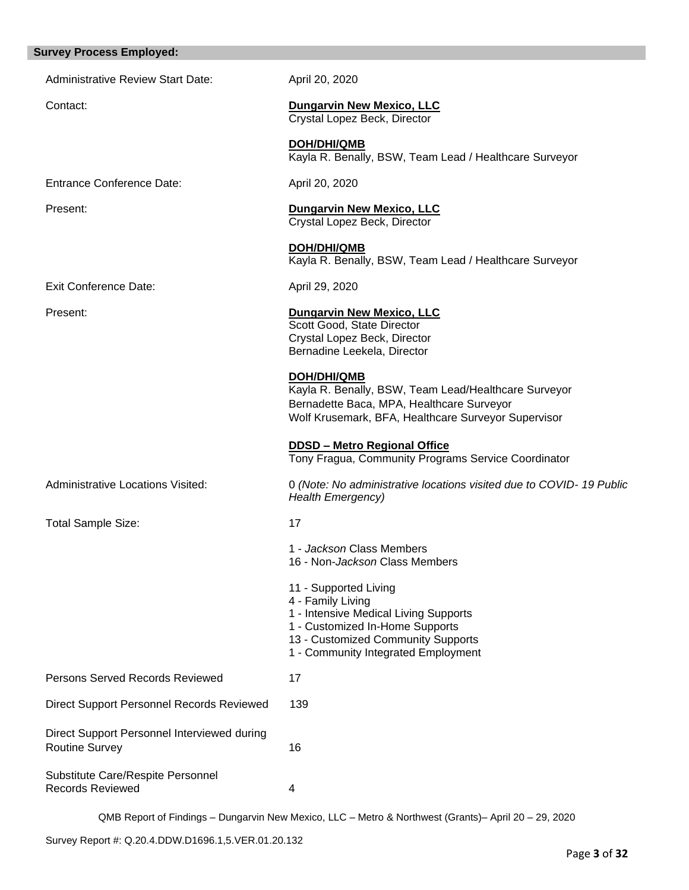# **Survey Process Employed:**

| <b>Administrative Review Start Date:</b>                             | April 20, 2020                                                                                                                                                                                      |  |
|----------------------------------------------------------------------|-----------------------------------------------------------------------------------------------------------------------------------------------------------------------------------------------------|--|
| Contact:                                                             | <b>Dungarvin New Mexico, LLC</b><br>Crystal Lopez Beck, Director                                                                                                                                    |  |
|                                                                      | <b>DOH/DHI/QMB</b><br>Kayla R. Benally, BSW, Team Lead / Healthcare Surveyor                                                                                                                        |  |
| <b>Entrance Conference Date:</b>                                     | April 20, 2020                                                                                                                                                                                      |  |
| Present:                                                             | <b>Dungarvin New Mexico, LLC</b><br>Crystal Lopez Beck, Director                                                                                                                                    |  |
|                                                                      | DOH/DHI/QMB<br>Kayla R. Benally, BSW, Team Lead / Healthcare Surveyor                                                                                                                               |  |
| <b>Exit Conference Date:</b>                                         | April 29, 2020                                                                                                                                                                                      |  |
| Present:                                                             | <b>Dungarvin New Mexico, LLC</b><br>Scott Good, State Director<br>Crystal Lopez Beck, Director<br>Bernadine Leekela, Director                                                                       |  |
|                                                                      | DOH/DHI/QMB<br>Kayla R. Benally, BSW, Team Lead/Healthcare Surveyor<br>Bernadette Baca, MPA, Healthcare Surveyor<br>Wolf Krusemark, BFA, Healthcare Surveyor Supervisor                             |  |
|                                                                      | <b>DDSD - Metro Regional Office</b><br>Tony Fragua, Community Programs Service Coordinator                                                                                                          |  |
| <b>Administrative Locations Visited:</b>                             | 0 (Note: No administrative locations visited due to COVID-19 Public<br><b>Health Emergency)</b>                                                                                                     |  |
| <b>Total Sample Size:</b>                                            | 17                                                                                                                                                                                                  |  |
|                                                                      | 1 - Jackson Class Members<br>16 - Non- <i>Jackson</i> Class Members                                                                                                                                 |  |
|                                                                      | 11 - Supported Living<br>4 - Family Living<br>1 - Intensive Medical Living Supports<br>1 - Customized In-Home Supports<br>13 - Customized Community Supports<br>1 - Community Integrated Employment |  |
| Persons Served Records Reviewed                                      | 17                                                                                                                                                                                                  |  |
| Direct Support Personnel Records Reviewed                            | 139                                                                                                                                                                                                 |  |
| Direct Support Personnel Interviewed during<br><b>Routine Survey</b> | 16                                                                                                                                                                                                  |  |
| Substitute Care/Respite Personnel<br><b>Records Reviewed</b>         | 4                                                                                                                                                                                                   |  |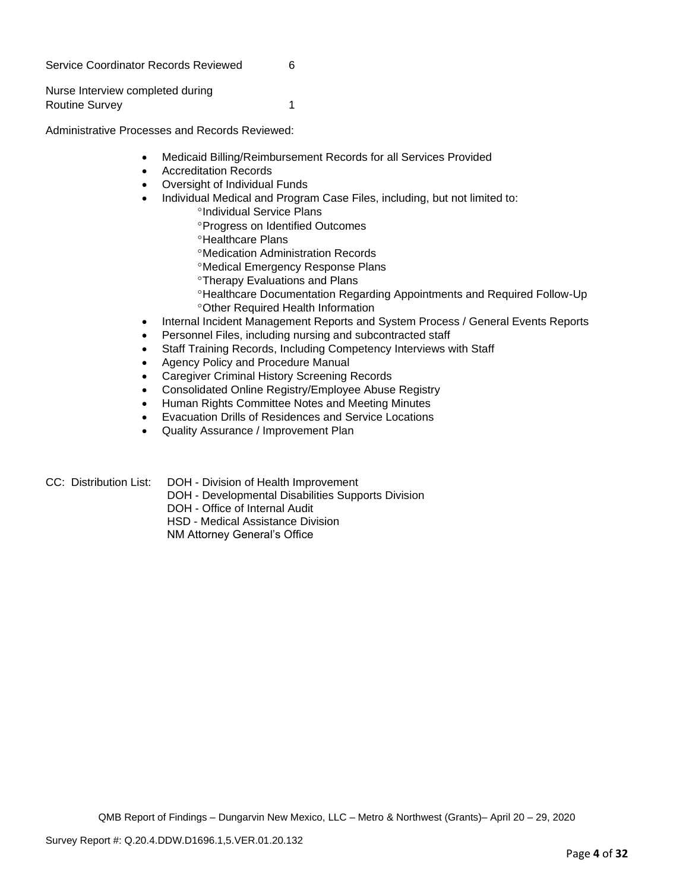Service Coordinator Records Reviewed 6

Nurse Interview completed during Routine Survey 1

Administrative Processes and Records Reviewed:

- Medicaid Billing/Reimbursement Records for all Services Provided
- Accreditation Records
- Oversight of Individual Funds
- Individual Medical and Program Case Files, including, but not limited to:
	- <sup>o</sup>Individual Service Plans
		- Progress on Identified Outcomes
	- <sup>o</sup>Healthcare Plans
	- Medication Administration Records
	- Medical Emergency Response Plans
	- Therapy Evaluations and Plans
	- Healthcare Documentation Regarding Appointments and Required Follow-Up Other Required Health Information
- Internal Incident Management Reports and System Process / General Events Reports
- Personnel Files, including nursing and subcontracted staff
- Staff Training Records, Including Competency Interviews with Staff
- Agency Policy and Procedure Manual
- Caregiver Criminal History Screening Records
- Consolidated Online Registry/Employee Abuse Registry
- Human Rights Committee Notes and Meeting Minutes
- Evacuation Drills of Residences and Service Locations
- Quality Assurance / Improvement Plan
- CC: Distribution List: DOH Division of Health Improvement
	- DOH Developmental Disabilities Supports Division
	- DOH Office of Internal Audit
	- HSD Medical Assistance Division
	- NM Attorney General's Office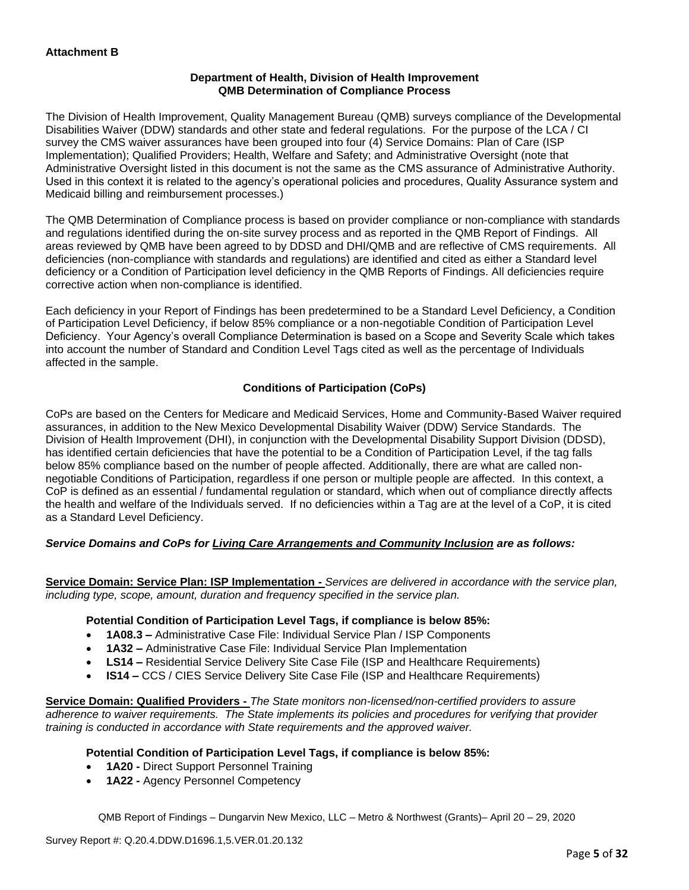## **Department of Health, Division of Health Improvement QMB Determination of Compliance Process**

The Division of Health Improvement, Quality Management Bureau (QMB) surveys compliance of the Developmental Disabilities Waiver (DDW) standards and other state and federal regulations. For the purpose of the LCA / CI survey the CMS waiver assurances have been grouped into four (4) Service Domains: Plan of Care (ISP Implementation); Qualified Providers; Health, Welfare and Safety; and Administrative Oversight (note that Administrative Oversight listed in this document is not the same as the CMS assurance of Administrative Authority. Used in this context it is related to the agency's operational policies and procedures, Quality Assurance system and Medicaid billing and reimbursement processes.)

The QMB Determination of Compliance process is based on provider compliance or non-compliance with standards and regulations identified during the on-site survey process and as reported in the QMB Report of Findings. All areas reviewed by QMB have been agreed to by DDSD and DHI/QMB and are reflective of CMS requirements. All deficiencies (non-compliance with standards and regulations) are identified and cited as either a Standard level deficiency or a Condition of Participation level deficiency in the QMB Reports of Findings. All deficiencies require corrective action when non-compliance is identified.

Each deficiency in your Report of Findings has been predetermined to be a Standard Level Deficiency, a Condition of Participation Level Deficiency, if below 85% compliance or a non-negotiable Condition of Participation Level Deficiency. Your Agency's overall Compliance Determination is based on a Scope and Severity Scale which takes into account the number of Standard and Condition Level Tags cited as well as the percentage of Individuals affected in the sample.

# **Conditions of Participation (CoPs)**

CoPs are based on the Centers for Medicare and Medicaid Services, Home and Community-Based Waiver required assurances, in addition to the New Mexico Developmental Disability Waiver (DDW) Service Standards. The Division of Health Improvement (DHI), in conjunction with the Developmental Disability Support Division (DDSD), has identified certain deficiencies that have the potential to be a Condition of Participation Level, if the tag falls below 85% compliance based on the number of people affected. Additionally, there are what are called nonnegotiable Conditions of Participation, regardless if one person or multiple people are affected. In this context, a CoP is defined as an essential / fundamental regulation or standard, which when out of compliance directly affects the health and welfare of the Individuals served. If no deficiencies within a Tag are at the level of a CoP, it is cited as a Standard Level Deficiency.

# *Service Domains and CoPs for Living Care Arrangements and Community Inclusion are as follows:*

**Service Domain: Service Plan: ISP Implementation -** *Services are delivered in accordance with the service plan, including type, scope, amount, duration and frequency specified in the service plan.*

#### **Potential Condition of Participation Level Tags, if compliance is below 85%:**

- **1A08.3 –** Administrative Case File: Individual Service Plan / ISP Components
- **1A32 –** Administrative Case File: Individual Service Plan Implementation
- **LS14 –** Residential Service Delivery Site Case File (ISP and Healthcare Requirements)
- **IS14 –** CCS / CIES Service Delivery Site Case File (ISP and Healthcare Requirements)

**Service Domain: Qualified Providers -** *The State monitors non-licensed/non-certified providers to assure adherence to waiver requirements. The State implements its policies and procedures for verifying that provider training is conducted in accordance with State requirements and the approved waiver.*

#### **Potential Condition of Participation Level Tags, if compliance is below 85%:**

- **1A20 -** Direct Support Personnel Training
- **1A22 -** Agency Personnel Competency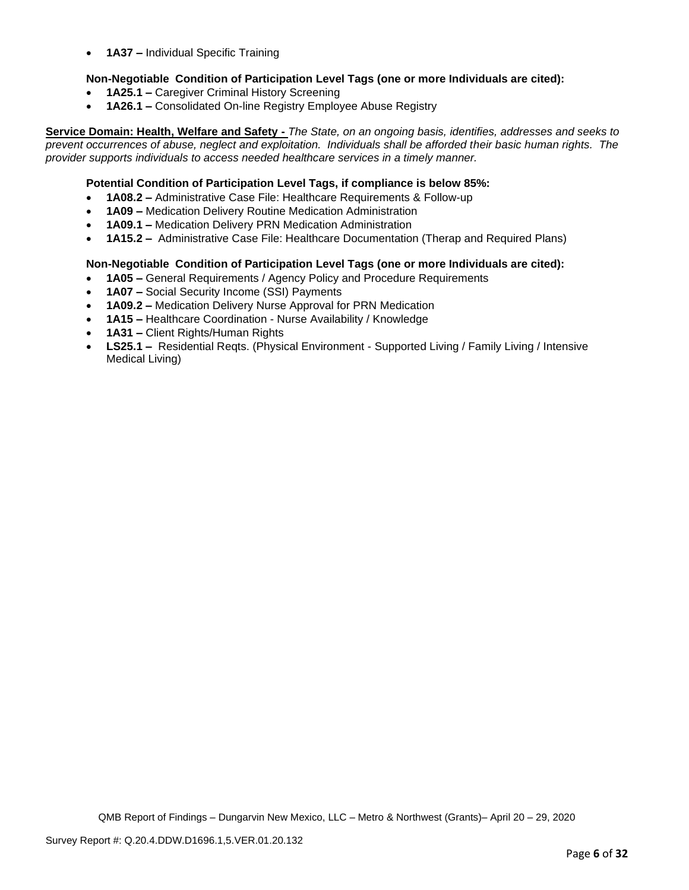• **1A37 –** Individual Specific Training

# **Non-Negotiable Condition of Participation Level Tags (one or more Individuals are cited):**

- **1A25.1 –** Caregiver Criminal History Screening
- **1A26.1 –** Consolidated On-line Registry Employee Abuse Registry

**Service Domain: Health, Welfare and Safety -** *The State, on an ongoing basis, identifies, addresses and seeks to prevent occurrences of abuse, neglect and exploitation. Individuals shall be afforded their basic human rights. The provider supports individuals to access needed healthcare services in a timely manner.*

#### **Potential Condition of Participation Level Tags, if compliance is below 85%:**

- **1A08.2 –** Administrative Case File: Healthcare Requirements & Follow-up
- **1A09 –** Medication Delivery Routine Medication Administration
- **1A09.1 –** Medication Delivery PRN Medication Administration
- **1A15.2 –** Administrative Case File: Healthcare Documentation (Therap and Required Plans)

#### **Non-Negotiable Condition of Participation Level Tags (one or more Individuals are cited):**

- **1A05 –** General Requirements / Agency Policy and Procedure Requirements
- **1A07 –** Social Security Income (SSI) Payments
- **1A09.2 –** Medication Delivery Nurse Approval for PRN Medication
- **1A15 –** Healthcare Coordination Nurse Availability / Knowledge
- **1A31 –** Client Rights/Human Rights
- **LS25.1 –** Residential Reqts. (Physical Environment Supported Living / Family Living / Intensive Medical Living)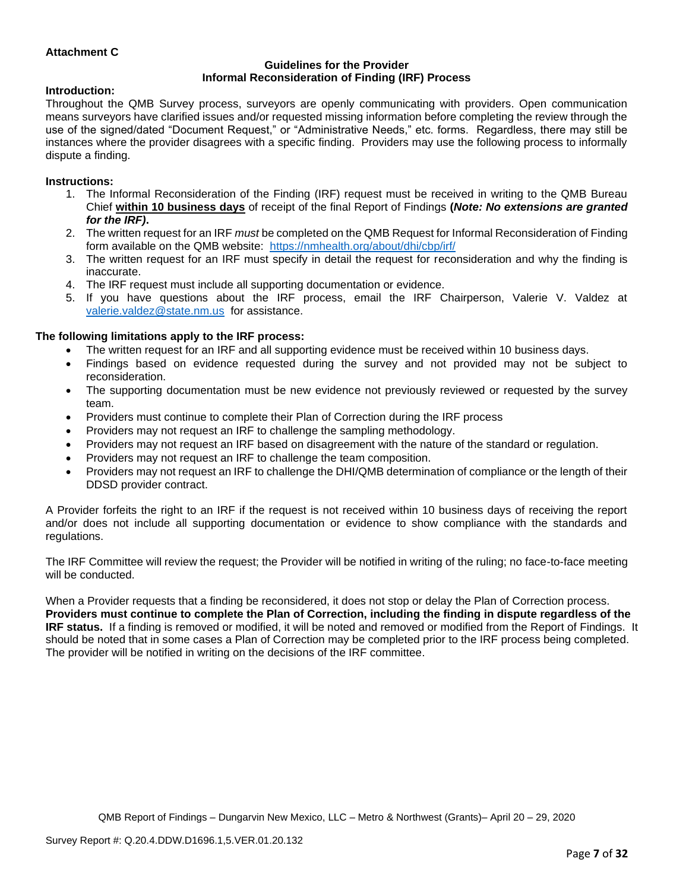## **Attachment C**

#### **Guidelines for the Provider Informal Reconsideration of Finding (IRF) Process**

#### **Introduction:**

Throughout the QMB Survey process, surveyors are openly communicating with providers. Open communication means surveyors have clarified issues and/or requested missing information before completing the review through the use of the signed/dated "Document Request," or "Administrative Needs," etc. forms. Regardless, there may still be instances where the provider disagrees with a specific finding. Providers may use the following process to informally dispute a finding.

#### **Instructions:**

- 1. The Informal Reconsideration of the Finding (IRF) request must be received in writing to the QMB Bureau Chief **within 10 business days** of receipt of the final Report of Findings **(***Note: No extensions are granted for the IRF)***.**
- 2. The written request for an IRF *must* be completed on the QMB Request for Informal Reconsideration of Finding form available on the QMB website: <https://nmhealth.org/about/dhi/cbp/irf/>
- 3. The written request for an IRF must specify in detail the request for reconsideration and why the finding is inaccurate.
- 4. The IRF request must include all supporting documentation or evidence.
- 5. If you have questions about the IRF process, email the IRF Chairperson, Valerie V. Valdez at [valerie.valdez@state.nm.us](mailto:valerie.valdez@state.nm.us) for assistance.

#### **The following limitations apply to the IRF process:**

- The written request for an IRF and all supporting evidence must be received within 10 business days.
- Findings based on evidence requested during the survey and not provided may not be subject to reconsideration.
- The supporting documentation must be new evidence not previously reviewed or requested by the survey team.
- Providers must continue to complete their Plan of Correction during the IRF process
- Providers may not request an IRF to challenge the sampling methodology.
- Providers may not request an IRF based on disagreement with the nature of the standard or regulation.
- Providers may not request an IRF to challenge the team composition.
- Providers may not request an IRF to challenge the DHI/QMB determination of compliance or the length of their DDSD provider contract.

A Provider forfeits the right to an IRF if the request is not received within 10 business days of receiving the report and/or does not include all supporting documentation or evidence to show compliance with the standards and regulations.

The IRF Committee will review the request; the Provider will be notified in writing of the ruling; no face-to-face meeting will be conducted.

When a Provider requests that a finding be reconsidered, it does not stop or delay the Plan of Correction process. **Providers must continue to complete the Plan of Correction, including the finding in dispute regardless of the IRF status.** If a finding is removed or modified, it will be noted and removed or modified from the Report of Findings. It should be noted that in some cases a Plan of Correction may be completed prior to the IRF process being completed. The provider will be notified in writing on the decisions of the IRF committee.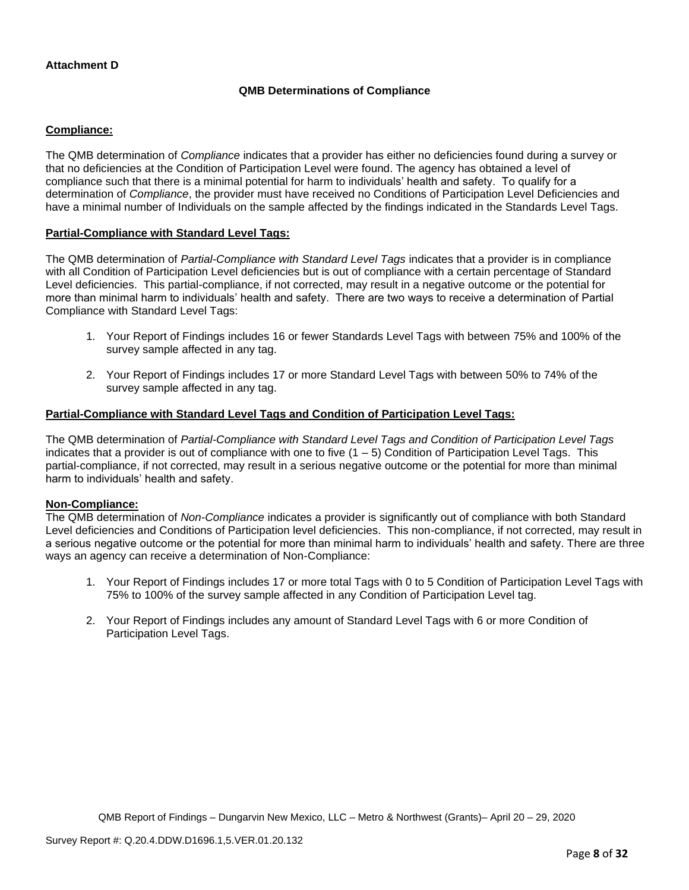## **Attachment D**

#### **QMB Determinations of Compliance**

## **Compliance:**

The QMB determination of *Compliance* indicates that a provider has either no deficiencies found during a survey or that no deficiencies at the Condition of Participation Level were found. The agency has obtained a level of compliance such that there is a minimal potential for harm to individuals' health and safety. To qualify for a determination of *Compliance*, the provider must have received no Conditions of Participation Level Deficiencies and have a minimal number of Individuals on the sample affected by the findings indicated in the Standards Level Tags.

#### **Partial-Compliance with Standard Level Tags:**

The QMB determination of *Partial-Compliance with Standard Level Tags* indicates that a provider is in compliance with all Condition of Participation Level deficiencies but is out of compliance with a certain percentage of Standard Level deficiencies. This partial-compliance, if not corrected, may result in a negative outcome or the potential for more than minimal harm to individuals' health and safety. There are two ways to receive a determination of Partial Compliance with Standard Level Tags:

- 1. Your Report of Findings includes 16 or fewer Standards Level Tags with between 75% and 100% of the survey sample affected in any tag.
- 2. Your Report of Findings includes 17 or more Standard Level Tags with between 50% to 74% of the survey sample affected in any tag.

## **Partial-Compliance with Standard Level Tags and Condition of Participation Level Tags:**

The QMB determination of *Partial-Compliance with Standard Level Tags and Condition of Participation Level Tags*  indicates that a provider is out of compliance with one to five  $(1 - 5)$  Condition of Participation Level Tags. This partial-compliance, if not corrected, may result in a serious negative outcome or the potential for more than minimal harm to individuals' health and safety.

#### **Non-Compliance:**

The QMB determination of *Non-Compliance* indicates a provider is significantly out of compliance with both Standard Level deficiencies and Conditions of Participation level deficiencies. This non-compliance, if not corrected, may result in a serious negative outcome or the potential for more than minimal harm to individuals' health and safety. There are three ways an agency can receive a determination of Non-Compliance:

- 1. Your Report of Findings includes 17 or more total Tags with 0 to 5 Condition of Participation Level Tags with 75% to 100% of the survey sample affected in any Condition of Participation Level tag.
- 2. Your Report of Findings includes any amount of Standard Level Tags with 6 or more Condition of Participation Level Tags.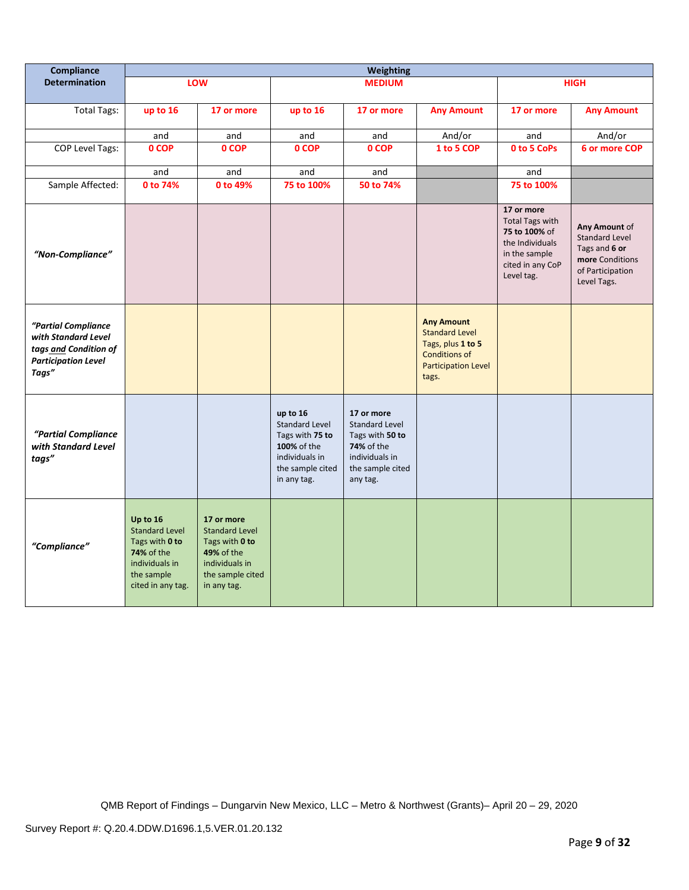| Compliance                                                                                                 | <b>Weighting</b>                                                                                                              |                                                                                                                          |                                                                                                                          |                                                                                                                               |                                                                                                                                |                                                                                                                             |                                                                                                               |
|------------------------------------------------------------------------------------------------------------|-------------------------------------------------------------------------------------------------------------------------------|--------------------------------------------------------------------------------------------------------------------------|--------------------------------------------------------------------------------------------------------------------------|-------------------------------------------------------------------------------------------------------------------------------|--------------------------------------------------------------------------------------------------------------------------------|-----------------------------------------------------------------------------------------------------------------------------|---------------------------------------------------------------------------------------------------------------|
| <b>Determination</b>                                                                                       |                                                                                                                               | LOW                                                                                                                      |                                                                                                                          | <b>MEDIUM</b>                                                                                                                 |                                                                                                                                |                                                                                                                             | <b>HIGH</b>                                                                                                   |
| <b>Total Tags:</b>                                                                                         | up to 16                                                                                                                      | 17 or more                                                                                                               | up to 16                                                                                                                 | 17 or more                                                                                                                    | <b>Any Amount</b>                                                                                                              | 17 or more                                                                                                                  | <b>Any Amount</b>                                                                                             |
|                                                                                                            | and                                                                                                                           | and                                                                                                                      | and                                                                                                                      | and                                                                                                                           | And/or                                                                                                                         | and                                                                                                                         | And/or                                                                                                        |
| <b>COP Level Tags:</b>                                                                                     | 0 COP                                                                                                                         | 0 COP                                                                                                                    | 0 COP                                                                                                                    | 0 COP                                                                                                                         | 1 to 5 COP                                                                                                                     | 0 to 5 CoPs                                                                                                                 | 6 or more COP                                                                                                 |
|                                                                                                            | and                                                                                                                           | and                                                                                                                      | and                                                                                                                      | and                                                                                                                           |                                                                                                                                | and                                                                                                                         |                                                                                                               |
| Sample Affected:                                                                                           | 0 to 74%                                                                                                                      | 0 to 49%                                                                                                                 | 75 to 100%                                                                                                               | 50 to 74%                                                                                                                     |                                                                                                                                | 75 to 100%                                                                                                                  |                                                                                                               |
| "Non-Compliance"                                                                                           |                                                                                                                               |                                                                                                                          |                                                                                                                          |                                                                                                                               |                                                                                                                                | 17 or more<br><b>Total Tags with</b><br>75 to 100% of<br>the Individuals<br>in the sample<br>cited in any CoP<br>Level tag. | Any Amount of<br><b>Standard Level</b><br>Tags and 6 or<br>more Conditions<br>of Participation<br>Level Tags. |
| "Partial Compliance<br>with Standard Level<br>tags and Condition of<br><b>Participation Level</b><br>Tags" |                                                                                                                               |                                                                                                                          |                                                                                                                          |                                                                                                                               | <b>Any Amount</b><br><b>Standard Level</b><br>Tags, plus 1 to 5<br><b>Conditions of</b><br><b>Participation Level</b><br>tags. |                                                                                                                             |                                                                                                               |
| "Partial Compliance<br>with Standard Level<br>tags"                                                        |                                                                                                                               |                                                                                                                          | up to 16<br><b>Standard Level</b><br>Tags with 75 to<br>100% of the<br>individuals in<br>the sample cited<br>in any tag. | 17 or more<br><b>Standard Level</b><br>Tags with 50 to<br><b>74%</b> of the<br>individuals in<br>the sample cited<br>any tag. |                                                                                                                                |                                                                                                                             |                                                                                                               |
| "Compliance"                                                                                               | Up to 16<br><b>Standard Level</b><br>Tags with 0 to<br><b>74% of the</b><br>individuals in<br>the sample<br>cited in any tag. | 17 or more<br><b>Standard Level</b><br>Tags with 0 to<br>49% of the<br>individuals in<br>the sample cited<br>in any tag. |                                                                                                                          |                                                                                                                               |                                                                                                                                |                                                                                                                             |                                                                                                               |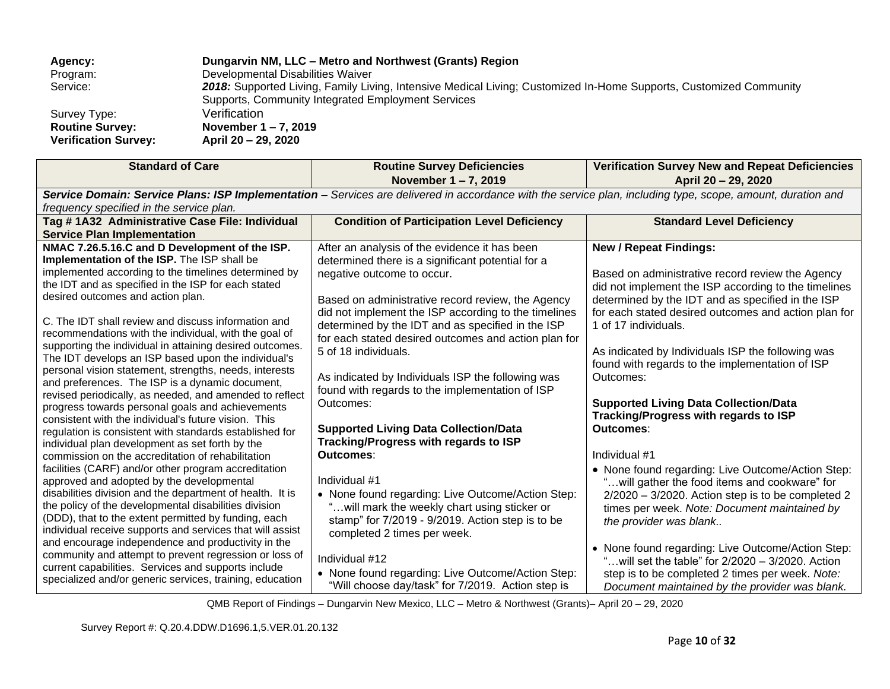| Agency:                     | Dungarvin NM, LLC - Metro and Northwest (Grants) Region                                                            |
|-----------------------------|--------------------------------------------------------------------------------------------------------------------|
| Program:                    | Developmental Disabilities Waiver                                                                                  |
| Service:                    | 2018: Supported Living, Family Living, Intensive Medical Living; Customized In-Home Supports, Customized Community |
|                             | Supports, Community Integrated Employment Services                                                                 |
| Survey Type:                | Verification                                                                                                       |
| <b>Routine Survey:</b>      | November $1 - 7$ , 2019                                                                                            |
| <b>Verification Survey:</b> | April 20 – 29, 2020                                                                                                |
|                             |                                                                                                                    |

| <b>Standard of Care</b>                                                                                                                                     | <b>Routine Survey Deficiencies</b>                   | <b>Verification Survey New and Repeat Deficiencies</b>       |  |  |  |  |
|-------------------------------------------------------------------------------------------------------------------------------------------------------------|------------------------------------------------------|--------------------------------------------------------------|--|--|--|--|
|                                                                                                                                                             | November 1-7, 2019                                   | April 20 - 29, 2020                                          |  |  |  |  |
| Service Domain: Service Plans: ISP Implementation - Services are delivered in accordance with the service plan, including type, scope, amount, duration and |                                                      |                                                              |  |  |  |  |
| frequency specified in the service plan.                                                                                                                    |                                                      |                                                              |  |  |  |  |
| Tag #1A32 Administrative Case File: Individual                                                                                                              | <b>Condition of Participation Level Deficiency</b>   | <b>Standard Level Deficiency</b>                             |  |  |  |  |
| <b>Service Plan Implementation</b>                                                                                                                          |                                                      |                                                              |  |  |  |  |
| NMAC 7.26.5.16.C and D Development of the ISP.                                                                                                              | After an analysis of the evidence it has been        | <b>New / Repeat Findings:</b>                                |  |  |  |  |
| Implementation of the ISP. The ISP shall be                                                                                                                 | determined there is a significant potential for a    |                                                              |  |  |  |  |
| implemented according to the timelines determined by                                                                                                        | negative outcome to occur.                           | Based on administrative record review the Agency             |  |  |  |  |
| the IDT and as specified in the ISP for each stated<br>desired outcomes and action plan.                                                                    |                                                      | did not implement the ISP according to the timelines         |  |  |  |  |
|                                                                                                                                                             | Based on administrative record review, the Agency    | determined by the IDT and as specified in the ISP            |  |  |  |  |
| C. The IDT shall review and discuss information and                                                                                                         | did not implement the ISP according to the timelines | for each stated desired outcomes and action plan for         |  |  |  |  |
| recommendations with the individual, with the goal of                                                                                                       | determined by the IDT and as specified in the ISP    | 1 of 17 individuals.                                         |  |  |  |  |
| supporting the individual in attaining desired outcomes.                                                                                                    | for each stated desired outcomes and action plan for |                                                              |  |  |  |  |
| The IDT develops an ISP based upon the individual's                                                                                                         | 5 of 18 individuals.                                 | As indicated by Individuals ISP the following was            |  |  |  |  |
| personal vision statement, strengths, needs, interests                                                                                                      | As indicated by Individuals ISP the following was    | found with regards to the implementation of ISP<br>Outcomes: |  |  |  |  |
| and preferences. The ISP is a dynamic document,                                                                                                             | found with regards to the implementation of ISP      |                                                              |  |  |  |  |
| revised periodically, as needed, and amended to reflect                                                                                                     | Outcomes:                                            | <b>Supported Living Data Collection/Data</b>                 |  |  |  |  |
| progress towards personal goals and achievements                                                                                                            |                                                      | Tracking/Progress with regards to ISP                        |  |  |  |  |
| consistent with the individual's future vision. This                                                                                                        | <b>Supported Living Data Collection/Data</b>         | Outcomes:                                                    |  |  |  |  |
| regulation is consistent with standards established for<br>individual plan development as set forth by the                                                  | Tracking/Progress with regards to ISP                |                                                              |  |  |  |  |
| commission on the accreditation of rehabilitation                                                                                                           | Outcomes:                                            | Individual #1                                                |  |  |  |  |
| facilities (CARF) and/or other program accreditation                                                                                                        |                                                      | • None found regarding: Live Outcome/Action Step:            |  |  |  |  |
| approved and adopted by the developmental                                                                                                                   | Individual #1                                        | "will gather the food items and cookware" for                |  |  |  |  |
| disabilities division and the department of health. It is                                                                                                   | • None found regarding: Live Outcome/Action Step:    | $2/2020 - 3/2020$ . Action step is to be completed 2         |  |  |  |  |
| the policy of the developmental disabilities division                                                                                                       | " will mark the weekly chart using sticker or        | times per week. Note: Document maintained by                 |  |  |  |  |
| (DDD), that to the extent permitted by funding, each                                                                                                        | stamp" for 7/2019 - 9/2019. Action step is to be     | the provider was blank                                       |  |  |  |  |
| individual receive supports and services that will assist                                                                                                   | completed 2 times per week.                          |                                                              |  |  |  |  |
| and encourage independence and productivity in the                                                                                                          |                                                      | • None found regarding: Live Outcome/Action Step:            |  |  |  |  |
| community and attempt to prevent regression or loss of                                                                                                      | Individual #12                                       | "will set the table" for $2/2020 - 3/2020$ . Action          |  |  |  |  |
| current capabilities. Services and supports include<br>specialized and/or generic services, training, education                                             | • None found regarding: Live Outcome/Action Step:    | step is to be completed 2 times per week. Note:              |  |  |  |  |
|                                                                                                                                                             | "Will choose day/task" for 7/2019. Action step is    | Document maintained by the provider was blank.               |  |  |  |  |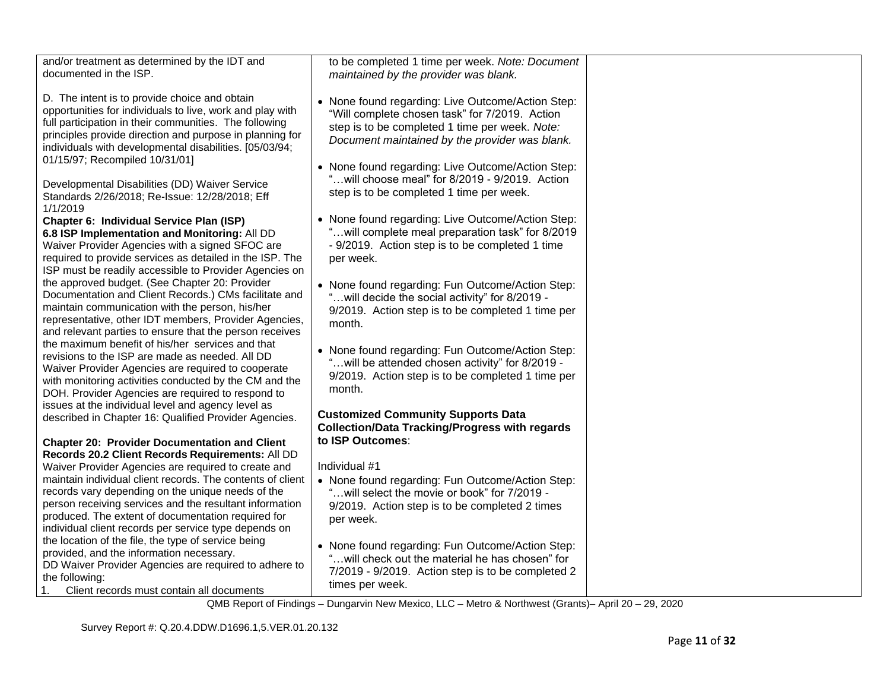| and/or treatment as determined by the IDT and<br>documented in the ISP.                                                                                                                                                                                                                                                       | to be completed 1 time per week. Note: Document<br>maintained by the provider was blank.                                                                                                                |  |
|-------------------------------------------------------------------------------------------------------------------------------------------------------------------------------------------------------------------------------------------------------------------------------------------------------------------------------|---------------------------------------------------------------------------------------------------------------------------------------------------------------------------------------------------------|--|
| D. The intent is to provide choice and obtain<br>opportunities for individuals to live, work and play with<br>full participation in their communities. The following<br>principles provide direction and purpose in planning for<br>individuals with developmental disabilities. [05/03/94;<br>01/15/97; Recompiled 10/31/01] | • None found regarding: Live Outcome/Action Step:<br>"Will complete chosen task" for 7/2019. Action<br>step is to be completed 1 time per week. Note:<br>Document maintained by the provider was blank. |  |
| Developmental Disabilities (DD) Waiver Service<br>Standards 2/26/2018; Re-Issue: 12/28/2018; Eff<br>1/1/2019                                                                                                                                                                                                                  | • None found regarding: Live Outcome/Action Step:<br>"will choose meal" for 8/2019 - 9/2019. Action<br>step is to be completed 1 time per week.                                                         |  |
| Chapter 6: Individual Service Plan (ISP)<br>6.8 ISP Implementation and Monitoring: All DD<br>Waiver Provider Agencies with a signed SFOC are<br>required to provide services as detailed in the ISP. The<br>ISP must be readily accessible to Provider Agencies on                                                            | • None found regarding: Live Outcome/Action Step:<br>"will complete meal preparation task" for 8/2019<br>- 9/2019. Action step is to be completed 1 time<br>per week.                                   |  |
| the approved budget. (See Chapter 20: Provider<br>Documentation and Client Records.) CMs facilitate and<br>maintain communication with the person, his/her<br>representative, other IDT members, Provider Agencies,<br>and relevant parties to ensure that the person receives                                                | • None found regarding: Fun Outcome/Action Step:<br>" will decide the social activity" for 8/2019 -<br>9/2019. Action step is to be completed 1 time per<br>month.                                      |  |
| the maximum benefit of his/her services and that<br>revisions to the ISP are made as needed. All DD<br>Waiver Provider Agencies are required to cooperate<br>with monitoring activities conducted by the CM and the<br>DOH. Provider Agencies are required to respond to                                                      | • None found regarding: Fun Outcome/Action Step:<br>" will be attended chosen activity" for 8/2019 -<br>9/2019. Action step is to be completed 1 time per<br>month.                                     |  |
| issues at the individual level and agency level as<br>described in Chapter 16: Qualified Provider Agencies.                                                                                                                                                                                                                   | <b>Customized Community Supports Data</b><br><b>Collection/Data Tracking/Progress with regards</b>                                                                                                      |  |
| <b>Chapter 20: Provider Documentation and Client</b><br>Records 20.2 Client Records Requirements: All DD                                                                                                                                                                                                                      | to ISP Outcomes:                                                                                                                                                                                        |  |
| Waiver Provider Agencies are required to create and                                                                                                                                                                                                                                                                           | Individual #1                                                                                                                                                                                           |  |
| maintain individual client records. The contents of client<br>records vary depending on the unique needs of the<br>person receiving services and the resultant information<br>produced. The extent of documentation required for<br>individual client records per service type depends on                                     | • None found regarding: Fun Outcome/Action Step:<br>" will select the movie or book" for 7/2019 -<br>9/2019. Action step is to be completed 2 times<br>per week.                                        |  |
| the location of the file, the type of service being<br>provided, and the information necessary.<br>DD Waiver Provider Agencies are required to adhere to<br>the following:<br>Client records must contain all documents<br>1.                                                                                                 | • None found regarding: Fun Outcome/Action Step:<br>"will check out the material he has chosen" for<br>7/2019 - 9/2019. Action step is to be completed 2<br>times per week.                             |  |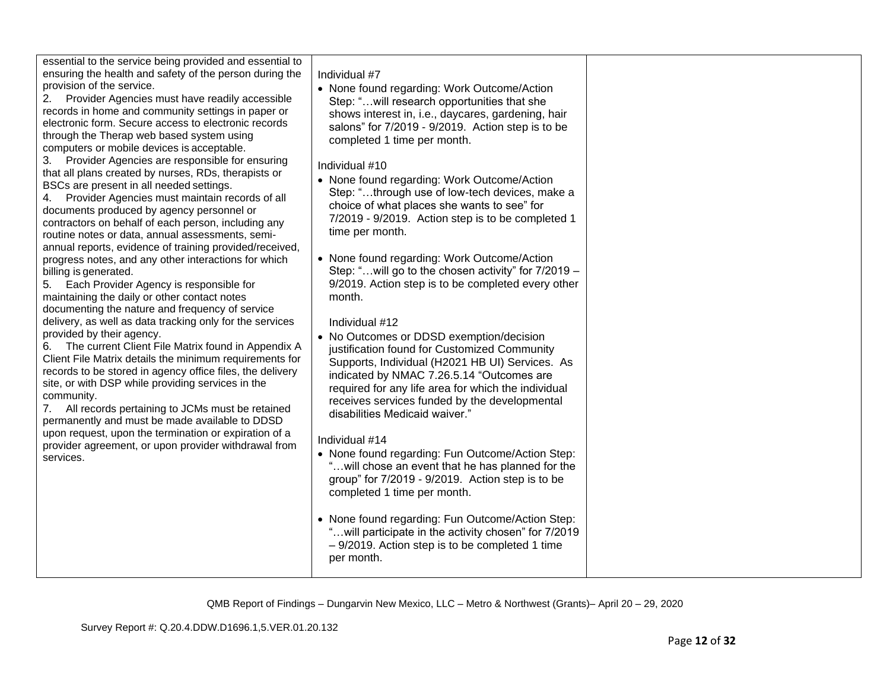| essential to the service being provided and essential to<br>ensuring the health and safety of the person during the<br>provision of the service.<br>Provider Agencies must have readily accessible<br>2.<br>records in home and community settings in paper or<br>electronic form. Secure access to electronic records<br>through the Therap web based system using<br>computers or mobile devices is acceptable.<br>Provider Agencies are responsible for ensuring<br>3.<br>that all plans created by nurses, RDs, therapists or<br>BSCs are present in all needed settings.<br>Provider Agencies must maintain records of all<br>4.<br>documents produced by agency personnel or<br>contractors on behalf of each person, including any<br>routine notes or data, annual assessments, semi-<br>annual reports, evidence of training provided/received,<br>progress notes, and any other interactions for which<br>billing is generated.<br>5. Each Provider Agency is responsible for<br>maintaining the daily or other contact notes<br>documenting the nature and frequency of service<br>delivery, as well as data tracking only for the services<br>provided by their agency.<br>The current Client File Matrix found in Appendix A<br>6.<br>Client File Matrix details the minimum requirements for<br>records to be stored in agency office files, the delivery<br>site, or with DSP while providing services in the<br>community.<br>All records pertaining to JCMs must be retained<br>7.<br>permanently and must be made available to DDSD<br>upon request, upon the termination or expiration of a<br>provider agreement, or upon provider withdrawal from<br>services. | Individual #7<br>• None found regarding: Work Outcome/Action<br>Step: " will research opportunities that she<br>shows interest in, i.e., daycares, gardening, hair<br>salons" for 7/2019 - 9/2019. Action step is to be<br>completed 1 time per month.<br>Individual #10<br>• None found regarding: Work Outcome/Action<br>Step: "through use of low-tech devices, make a<br>choice of what places she wants to see" for<br>7/2019 - 9/2019. Action step is to be completed 1<br>time per month.<br>• None found regarding: Work Outcome/Action<br>Step: "will go to the chosen activity" for 7/2019 -<br>9/2019. Action step is to be completed every other<br>month.<br>Individual #12<br>• No Outcomes or DDSD exemption/decision<br>justification found for Customized Community<br>Supports, Individual (H2021 HB UI) Services. As<br>indicated by NMAC 7.26.5.14 "Outcomes are<br>required for any life area for which the individual<br>receives services funded by the developmental<br>disabilities Medicaid waiver."<br>Individual #14<br>• None found regarding: Fun Outcome/Action Step:<br>"will chose an event that he has planned for the<br>group" for 7/2019 - 9/2019. Action step is to be<br>completed 1 time per month.<br>• None found regarding: Fun Outcome/Action Step:<br>"will participate in the activity chosen" for 7/2019<br>- 9/2019. Action step is to be completed 1 time<br>per month. |  |
|-------------------------------------------------------------------------------------------------------------------------------------------------------------------------------------------------------------------------------------------------------------------------------------------------------------------------------------------------------------------------------------------------------------------------------------------------------------------------------------------------------------------------------------------------------------------------------------------------------------------------------------------------------------------------------------------------------------------------------------------------------------------------------------------------------------------------------------------------------------------------------------------------------------------------------------------------------------------------------------------------------------------------------------------------------------------------------------------------------------------------------------------------------------------------------------------------------------------------------------------------------------------------------------------------------------------------------------------------------------------------------------------------------------------------------------------------------------------------------------------------------------------------------------------------------------------------------------------------------------------------------------------------------------------------------------|--------------------------------------------------------------------------------------------------------------------------------------------------------------------------------------------------------------------------------------------------------------------------------------------------------------------------------------------------------------------------------------------------------------------------------------------------------------------------------------------------------------------------------------------------------------------------------------------------------------------------------------------------------------------------------------------------------------------------------------------------------------------------------------------------------------------------------------------------------------------------------------------------------------------------------------------------------------------------------------------------------------------------------------------------------------------------------------------------------------------------------------------------------------------------------------------------------------------------------------------------------------------------------------------------------------------------------------------------------------------------------------------------------------------------|--|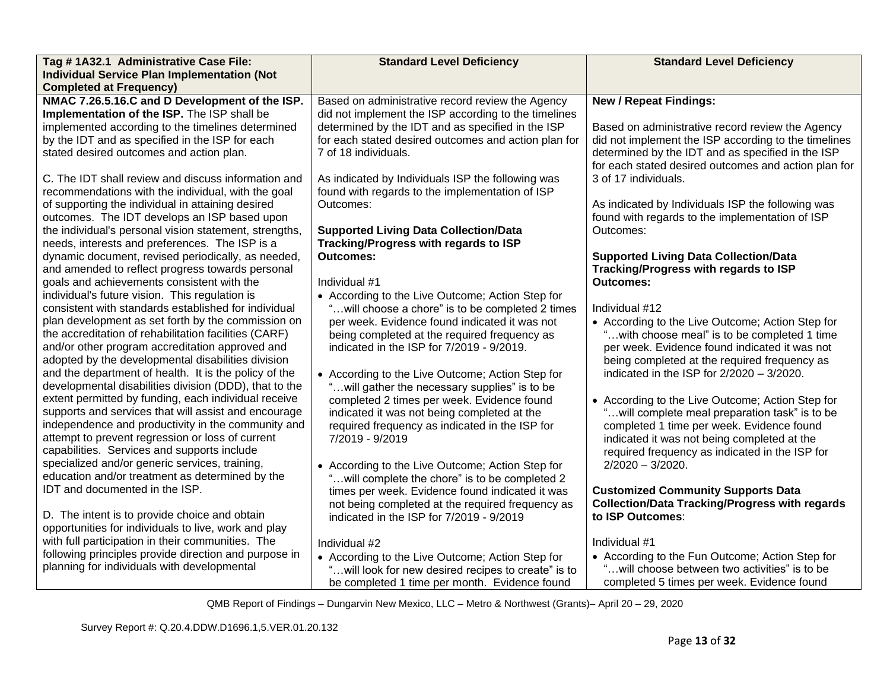| Tag #1A32.1 Administrative Case File:                                                                          | <b>Standard Level Deficiency</b>                                                                         | <b>Standard Level Deficiency</b>                                                            |
|----------------------------------------------------------------------------------------------------------------|----------------------------------------------------------------------------------------------------------|---------------------------------------------------------------------------------------------|
| <b>Individual Service Plan Implementation (Not</b>                                                             |                                                                                                          |                                                                                             |
| <b>Completed at Frequency)</b>                                                                                 |                                                                                                          |                                                                                             |
| NMAC 7.26.5.16.C and D Development of the ISP.<br>Implementation of the ISP. The ISP shall be                  | Based on administrative record review the Agency<br>did not implement the ISP according to the timelines | <b>New / Repeat Findings:</b>                                                               |
| implemented according to the timelines determined                                                              | determined by the IDT and as specified in the ISP                                                        | Based on administrative record review the Agency                                            |
| by the IDT and as specified in the ISP for each                                                                | for each stated desired outcomes and action plan for                                                     | did not implement the ISP according to the timelines                                        |
| stated desired outcomes and action plan.                                                                       | 7 of 18 individuals.                                                                                     | determined by the IDT and as specified in the ISP                                           |
|                                                                                                                |                                                                                                          | for each stated desired outcomes and action plan for                                        |
| C. The IDT shall review and discuss information and                                                            | As indicated by Individuals ISP the following was                                                        | 3 of 17 individuals.                                                                        |
| recommendations with the individual, with the goal                                                             | found with regards to the implementation of ISP                                                          |                                                                                             |
| of supporting the individual in attaining desired                                                              | Outcomes:                                                                                                | As indicated by Individuals ISP the following was                                           |
| outcomes. The IDT develops an ISP based upon                                                                   |                                                                                                          | found with regards to the implementation of ISP                                             |
| the individual's personal vision statement, strengths,                                                         | <b>Supported Living Data Collection/Data</b>                                                             | Outcomes:                                                                                   |
| needs, interests and preferences. The ISP is a                                                                 | Tracking/Progress with regards to ISP                                                                    |                                                                                             |
| dynamic document, revised periodically, as needed,                                                             | <b>Outcomes:</b>                                                                                         | <b>Supported Living Data Collection/Data</b>                                                |
| and amended to reflect progress towards personal                                                               |                                                                                                          | Tracking/Progress with regards to ISP                                                       |
| goals and achievements consistent with the                                                                     | Individual #1                                                                                            | Outcomes:                                                                                   |
| individual's future vision. This regulation is                                                                 | • According to the Live Outcome; Action Step for                                                         |                                                                                             |
| consistent with standards established for individual                                                           | "will choose a chore" is to be completed 2 times                                                         | Individual #12                                                                              |
| plan development as set forth by the commission on                                                             | per week. Evidence found indicated it was not                                                            | • According to the Live Outcome; Action Step for                                            |
| the accreditation of rehabilitation facilities (CARF)                                                          | being completed at the required frequency as                                                             | "with choose meal" is to be completed 1 time                                                |
| and/or other program accreditation approved and                                                                | indicated in the ISP for 7/2019 - 9/2019.                                                                | per week. Evidence found indicated it was not                                               |
| adopted by the developmental disabilities division                                                             |                                                                                                          | being completed at the required frequency as                                                |
| and the department of health. It is the policy of the                                                          | • According to the Live Outcome; Action Step for                                                         | indicated in the ISP for $2/2020 - 3/2020$ .                                                |
| developmental disabilities division (DDD), that to the<br>extent permitted by funding, each individual receive | " will gather the necessary supplies" is to be                                                           |                                                                                             |
| supports and services that will assist and encourage                                                           | completed 2 times per week. Evidence found                                                               | • According to the Live Outcome; Action Step for                                            |
| independence and productivity in the community and                                                             | indicated it was not being completed at the<br>required frequency as indicated in the ISP for            | "will complete meal preparation task" is to be<br>completed 1 time per week. Evidence found |
| attempt to prevent regression or loss of current                                                               | 7/2019 - 9/2019                                                                                          | indicated it was not being completed at the                                                 |
| capabilities. Services and supports include                                                                    |                                                                                                          | required frequency as indicated in the ISP for                                              |
| specialized and/or generic services, training,                                                                 | • According to the Live Outcome; Action Step for                                                         | $2/2020 - 3/2020$ .                                                                         |
| education and/or treatment as determined by the                                                                | "will complete the chore" is to be completed 2                                                           |                                                                                             |
| <b>IDT</b> and documented in the ISP.                                                                          | times per week. Evidence found indicated it was                                                          | <b>Customized Community Supports Data</b>                                                   |
|                                                                                                                | not being completed at the required frequency as                                                         | <b>Collection/Data Tracking/Progress with regards</b>                                       |
| D. The intent is to provide choice and obtain                                                                  | indicated in the ISP for 7/2019 - 9/2019                                                                 | to ISP Outcomes:                                                                            |
| opportunities for individuals to live, work and play                                                           |                                                                                                          |                                                                                             |
| with full participation in their communities. The                                                              | Individual #2                                                                                            | Individual #1                                                                               |
| following principles provide direction and purpose in                                                          | • According to the Live Outcome; Action Step for                                                         | • According to the Fun Outcome; Action Step for                                             |
| planning for individuals with developmental                                                                    | will look for new desired recipes to create" is to                                                       | will choose between two activities" is to be                                                |
|                                                                                                                | be completed 1 time per month. Evidence found                                                            | completed 5 times per week. Evidence found                                                  |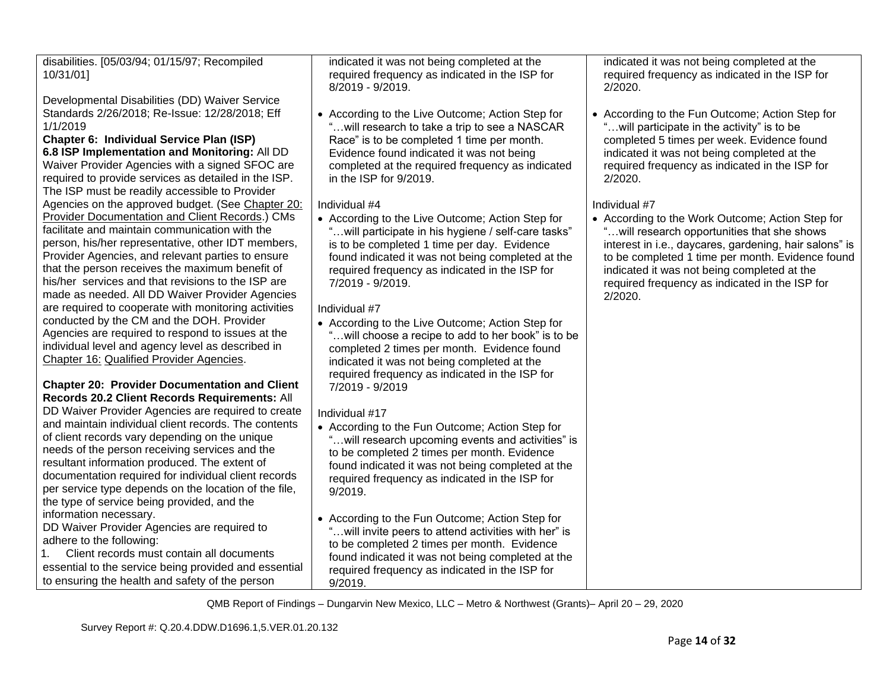disabilities. [05/03/94; 01/15/97; Recompiled 10/31/01]

Developmental Disabilities (DD) Waiver Service Standards 2/26/2018; Re-Issue: 12/28/2018; Eff 1/1/2019

# **Chapter 6: Individual Service Plan (ISP)**

**6.8 ISP Implementation and Monitoring:** All DD Waiver Provider Agencies with a signed SFOC are required to provide services as detailed in the ISP. The ISP must be readily accessible to Provider Agencies on the approved budget. (See [Chapter 20:](file://///dhirndcolm002/QMBShared/Working%20Files%20for%20upcoming%20Surveys/FY%202020/Dungarvin%20-%20Metro%20&%20Grants%20-%20VER%20Survey%20Working%20File%204.2020/POC%20and%20Report%20of%20Findings/POC%20Addendum%20-%20Dungarvin%20MetroGrants.docx%23_bookmark180) [Provider Documentation and Client Records.](file://///dhirndcolm002/QMBShared/Working%20Files%20for%20upcoming%20Surveys/FY%202020/Dungarvin%20-%20Metro%20&%20Grants%20-%20VER%20Survey%20Working%20File%204.2020/POC%20and%20Report%20of%20Findings/POC%20Addendum%20-%20Dungarvin%20MetroGrants.docx%23_bookmark180)) CMs facilitate and maintain communication with the person, his/her representative, other IDT members, Provider Agencies, and relevant parties to ensure that the person receives the maximum benefit of his/her services and that revisions to the ISP are made as needed. All DD Waiver Provider Agencies are required to cooperate with monitoring activities conducted by the CM and the DOH. Provider Agencies are required to respond to issues at the individual level and agency level as described in [Chapter 16:](file://///dhirndcolm002/QMBShared/Working%20Files%20for%20upcoming%20Surveys/FY%202020/Dungarvin%20-%20Metro%20&%20Grants%20-%20VER%20Survey%20Working%20File%204.2020/POC%20and%20Report%20of%20Findings/POC%20Addendum%20-%20Dungarvin%20MetroGrants.docx%23_bookmark138) [Qualified Provider Agencies.](file://///dhirndcolm002/QMBShared/Working%20Files%20for%20upcoming%20Surveys/FY%202020/Dungarvin%20-%20Metro%20&%20Grants%20-%20VER%20Survey%20Working%20File%204.2020/POC%20and%20Report%20of%20Findings/POC%20Addendum%20-%20Dungarvin%20MetroGrants.docx%23_bookmark138)

#### **Chapter 20: Provider Documentation and Client Records 20.2 Client Records Requirements:** All

DD Waiver Provider Agencies are required to create and maintain individual client records. The contents of client records vary depending on the unique needs of the person receiving services and the resultant information produced. The extent of documentation required for individual client records per service type depends on the location of the file, the type of service being provided, and the information necessary.

DD Waiver Provider Agencies are required to adhere to the following:

1. Client records must contain all documents essential to the service being provided and essential to ensuring the health and safety of the person

indicated it was not being completed at the required frequency as indicated in the ISP for 8/2019 - 9/2019.

• According to the Live Outcome; Action Step for "…will research to take a trip to see a NASCAR Race" is to be completed 1 time per month. Evidence found indicated it was not being completed at the required frequency as indicated in the ISP for 9/2019.

# Individual #4

• According to the Live Outcome; Action Step for "…will participate in his hygiene / self-care tasks" is to be completed 1 time per day. Evidence found indicated it was not being completed at the required frequency as indicated in the ISP for 7/2019 - 9/2019.

# Individual #7

• According to the Live Outcome; Action Step for "…will choose a recipe to add to her book" is to be completed 2 times per month. Evidence found indicated it was not being completed at the required frequency as indicated in the ISP for 7/2019 - 9/2019

# Individual #17

- According to the Fun Outcome; Action Step for ... will research upcoming events and activities" is to be completed 2 times per month. Evidence found indicated it was not being completed at the required frequency as indicated in the ISP for 9/2019.
- According to the Fun Outcome; Action Step for "…will invite peers to attend activities with her" is to be completed 2 times per month. Evidence found indicated it was not being completed at the required frequency as indicated in the ISP for 9/2019.

indicated it was not being completed at the required frequency as indicated in the ISP for 2/2020.

• According to the Fun Outcome; Action Step for "…will participate in the activity" is to be completed 5 times per week. Evidence found indicated it was not being completed at the required frequency as indicated in the ISP for 2/2020.

# Individual #7

• According to the Work Outcome; Action Step for "…will research opportunities that she shows interest in i.e., daycares, gardening, hair salons" is to be completed 1 time per month. Evidence found indicated it was not being completed at the required frequency as indicated in the ISP for 2/2020.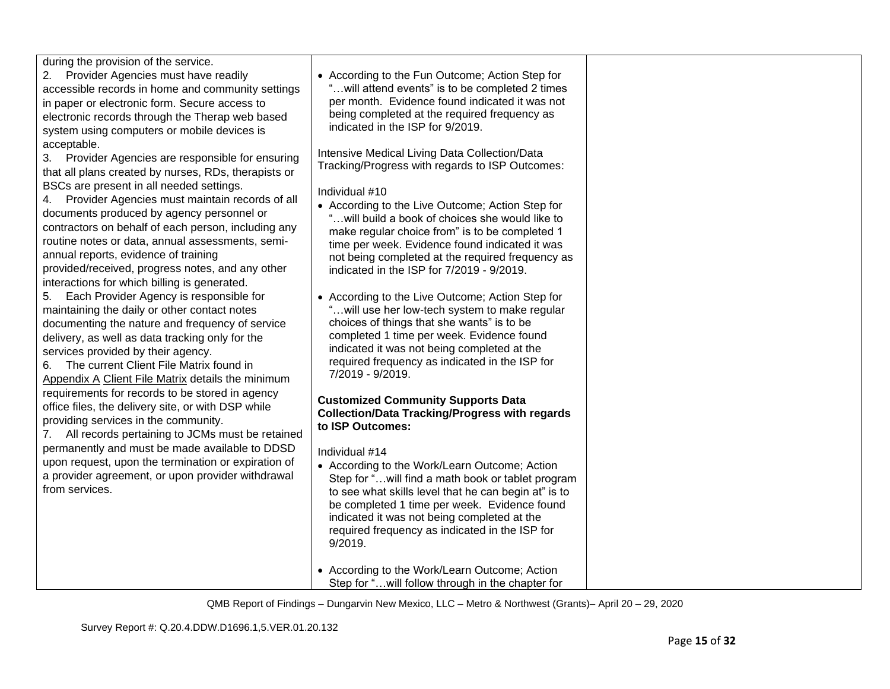during the provision of the service.

2. Provider Agencies must have readily accessible records in home and community settings in paper or electronic form. Secure access to electronic records through the Therap web based system using computers or mobile devices is acceptable.

3. Provider Agencies are responsible for ensuring that all plans created by nurses, RDs, therapists or BSCs are present in all needed settings.

4. Provider Agencies must maintain records of all documents produced by agency personnel or contractors on behalf of each person, including any routine notes or data, annual assessments, semiannual reports, evidence of training provided/received, progress notes, and any other interactions for which billing is generated.

5. Each Provider Agency is responsible for maintaining the daily or other contact notes documenting the nature and frequency of service delivery, as well as data tracking only for the services provided by their agency.

6. The current Client File Matrix found in [Appendix A](file://///dhirndcolm002/QMBShared/Working%20Files%20for%20upcoming%20Surveys/FY%202020/Dungarvin%20-%20Metro%20&%20Grants%20-%20VER%20Survey%20Working%20File%204.2020/POC%20and%20Report%20of%20Findings/POC%20Addendum%20-%20Dungarvin%20MetroGrants.docx%23_bookmark203) [Client File Matrix](file://///dhirndcolm002/QMBShared/Working%20Files%20for%20upcoming%20Surveys/FY%202020/Dungarvin%20-%20Metro%20&%20Grants%20-%20VER%20Survey%20Working%20File%204.2020/POC%20and%20Report%20of%20Findings/POC%20Addendum%20-%20Dungarvin%20MetroGrants.docx%23_bookmark203) details the minimum requirements for records to be stored in agency office files, the delivery site, or with DSP while providing services in the community.

7. All records pertaining to JCMs must be retained permanently and must be made available to DDSD upon request, upon the termination or expiration of a provider agreement, or upon provider withdrawal from services.

• According to the Fun Outcome; Action Step for "…will attend events" is to be completed 2 times per month. Evidence found indicated it was not being completed at the required frequency as indicated in the ISP for 9/2019.

Intensive Medical Living Data Collection/Data Tracking/Progress with regards to ISP Outcomes:

# Individual #10

- According to the Live Outcome; Action Step for "…will build a book of choices she would like to make regular choice from" is to be completed 1 time per week. Evidence found indicated it was not being completed at the required frequency as indicated in the ISP for 7/2019 - 9/2019.
- According to the Live Outcome; Action Step for "…will use her low-tech system to make regular choices of things that she wants" is to be completed 1 time per week. Evidence found indicated it was not being completed at the required frequency as indicated in the ISP for 7/2019 - 9/2019.

#### **Customized Community Supports Data Collection/Data Tracking/Progress with regards to ISP Outcomes:**

## Individual #14

- According to the Work/Learn Outcome; Action Step for "…will find a math book or tablet program to see what skills level that he can begin at" is to be completed 1 time per week. Evidence found indicated it was not being completed at the required frequency as indicated in the ISP for 9/2019.
- According to the Work/Learn Outcome; Action Step for "…will follow through in the chapter for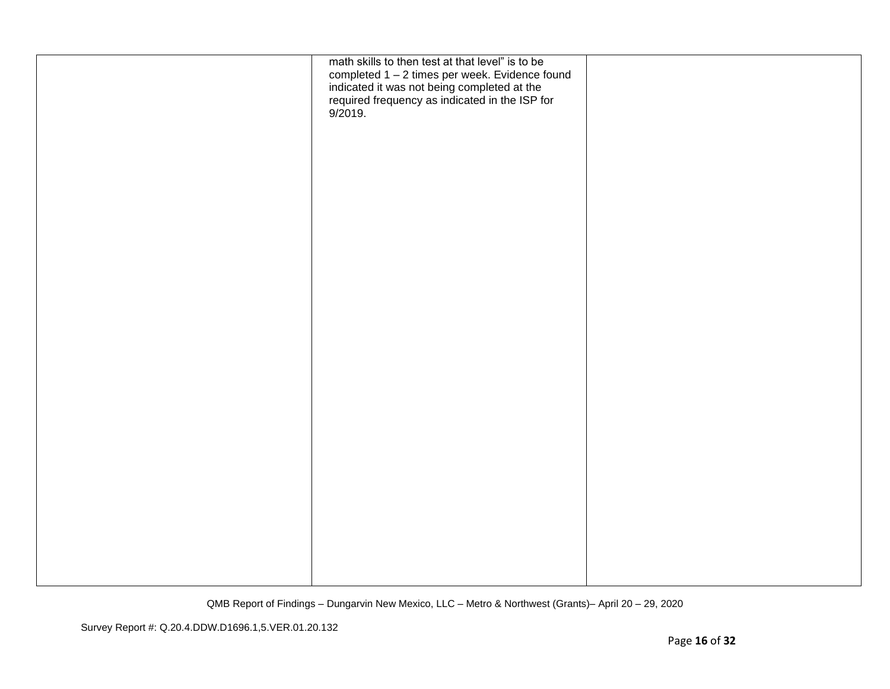| math skills to then test at that level" is to be<br>completed 1 – 2 times per week. Evidence found<br>indicated it was not being completed at the<br>required frequency as indicated in the ISP for<br>9/2019. |  |
|----------------------------------------------------------------------------------------------------------------------------------------------------------------------------------------------------------------|--|
|                                                                                                                                                                                                                |  |
|                                                                                                                                                                                                                |  |
|                                                                                                                                                                                                                |  |
|                                                                                                                                                                                                                |  |
|                                                                                                                                                                                                                |  |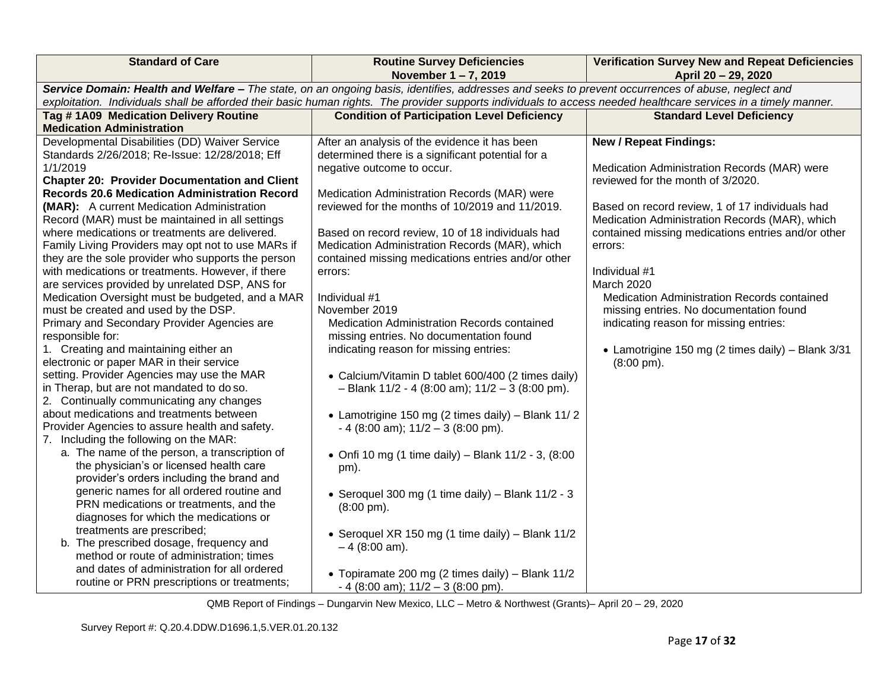| <b>Standard of Care</b>                                                                                                                                          | <b>Routine Survey Deficiencies</b>                                                                 | <b>Verification Survey New and Repeat Deficiencies</b> |  |  |  |  |
|------------------------------------------------------------------------------------------------------------------------------------------------------------------|----------------------------------------------------------------------------------------------------|--------------------------------------------------------|--|--|--|--|
|                                                                                                                                                                  | November 1-7, 2019                                                                                 | April 20 - 29, 2020                                    |  |  |  |  |
| Service Domain: Health and Welfare - The state, on an ongoing basis, identifies, addresses and seeks to prevent occurrences of abuse, neglect and                |                                                                                                    |                                                        |  |  |  |  |
| exploitation. Individuals shall be afforded their basic human rights. The provider supports individuals to access needed healthcare services in a timely manner. |                                                                                                    |                                                        |  |  |  |  |
| Tag #1A09 Medication Delivery Routine<br><b>Medication Administration</b>                                                                                        | <b>Condition of Participation Level Deficiency</b>                                                 | <b>Standard Level Deficiency</b>                       |  |  |  |  |
| Developmental Disabilities (DD) Waiver Service                                                                                                                   |                                                                                                    | <b>New / Repeat Findings:</b>                          |  |  |  |  |
| Standards 2/26/2018; Re-Issue: 12/28/2018; Eff                                                                                                                   | After an analysis of the evidence it has been<br>determined there is a significant potential for a |                                                        |  |  |  |  |
| 1/1/2019                                                                                                                                                         | negative outcome to occur.                                                                         | Medication Administration Records (MAR) were           |  |  |  |  |
| <b>Chapter 20: Provider Documentation and Client</b>                                                                                                             |                                                                                                    | reviewed for the month of 3/2020.                      |  |  |  |  |
| <b>Records 20.6 Medication Administration Record</b>                                                                                                             | Medication Administration Records (MAR) were                                                       |                                                        |  |  |  |  |
| (MAR): A current Medication Administration                                                                                                                       | reviewed for the months of 10/2019 and 11/2019.                                                    | Based on record review, 1 of 17 individuals had        |  |  |  |  |
| Record (MAR) must be maintained in all settings                                                                                                                  |                                                                                                    | Medication Administration Records (MAR), which         |  |  |  |  |
| where medications or treatments are delivered.                                                                                                                   | Based on record review, 10 of 18 individuals had                                                   | contained missing medications entries and/or other     |  |  |  |  |
| Family Living Providers may opt not to use MARs if                                                                                                               | Medication Administration Records (MAR), which                                                     | errors:                                                |  |  |  |  |
| they are the sole provider who supports the person                                                                                                               | contained missing medications entries and/or other                                                 |                                                        |  |  |  |  |
| with medications or treatments. However, if there                                                                                                                | errors:                                                                                            | Individual #1                                          |  |  |  |  |
| are services provided by unrelated DSP, ANS for                                                                                                                  |                                                                                                    | March 2020                                             |  |  |  |  |
| Medication Oversight must be budgeted, and a MAR                                                                                                                 | Individual #1                                                                                      | Medication Administration Records contained            |  |  |  |  |
| must be created and used by the DSP.                                                                                                                             | November 2019                                                                                      | missing entries. No documentation found                |  |  |  |  |
| Primary and Secondary Provider Agencies are                                                                                                                      | <b>Medication Administration Records contained</b>                                                 | indicating reason for missing entries:                 |  |  |  |  |
| responsible for:                                                                                                                                                 | missing entries. No documentation found                                                            |                                                        |  |  |  |  |
| 1. Creating and maintaining either an                                                                                                                            | indicating reason for missing entries:                                                             | • Lamotrigine 150 mg (2 times daily) - Blank 3/31      |  |  |  |  |
| electronic or paper MAR in their service                                                                                                                         |                                                                                                    | $(8:00 \text{ pm})$ .                                  |  |  |  |  |
| setting. Provider Agencies may use the MAR                                                                                                                       | • Calcium/Vitamin D tablet 600/400 (2 times daily)                                                 |                                                        |  |  |  |  |
| in Therap, but are not mandated to do so.                                                                                                                        | $-$ Blank 11/2 - 4 (8:00 am); 11/2 - 3 (8:00 pm).                                                  |                                                        |  |  |  |  |
| 2. Continually communicating any changes                                                                                                                         |                                                                                                    |                                                        |  |  |  |  |
| about medications and treatments between                                                                                                                         | • Lamotrigine 150 mg (2 times daily) - Blank 11/2                                                  |                                                        |  |  |  |  |
| Provider Agencies to assure health and safety.                                                                                                                   | $-4$ (8:00 am); $11/2 - 3$ (8:00 pm).                                                              |                                                        |  |  |  |  |
| 7. Including the following on the MAR:                                                                                                                           |                                                                                                    |                                                        |  |  |  |  |
| a. The name of the person, a transcription of                                                                                                                    | • Onfi 10 mg (1 time daily) - Blank 11/2 - 3, (8:00                                                |                                                        |  |  |  |  |
| the physician's or licensed health care<br>provider's orders including the brand and                                                                             | pm).                                                                                               |                                                        |  |  |  |  |
| generic names for all ordered routine and                                                                                                                        |                                                                                                    |                                                        |  |  |  |  |
| PRN medications or treatments, and the                                                                                                                           | • Seroquel 300 mg (1 time daily) - Blank $11/2 - 3$                                                |                                                        |  |  |  |  |
| diagnoses for which the medications or                                                                                                                           | $(8:00 \text{ pm})$ .                                                                              |                                                        |  |  |  |  |
| treatments are prescribed;                                                                                                                                       |                                                                                                    |                                                        |  |  |  |  |
| b. The prescribed dosage, frequency and                                                                                                                          | • Seroquel XR 150 mg (1 time daily) - Blank 11/2                                                   |                                                        |  |  |  |  |
| method or route of administration; times                                                                                                                         | $-4$ (8:00 am).                                                                                    |                                                        |  |  |  |  |
| and dates of administration for all ordered                                                                                                                      |                                                                                                    |                                                        |  |  |  |  |
| routine or PRN prescriptions or treatments;                                                                                                                      | • Topiramate 200 mg (2 times daily) - Blank 11/2                                                   |                                                        |  |  |  |  |
|                                                                                                                                                                  | $-4$ (8:00 am); $11/2 - 3$ (8:00 pm).                                                              |                                                        |  |  |  |  |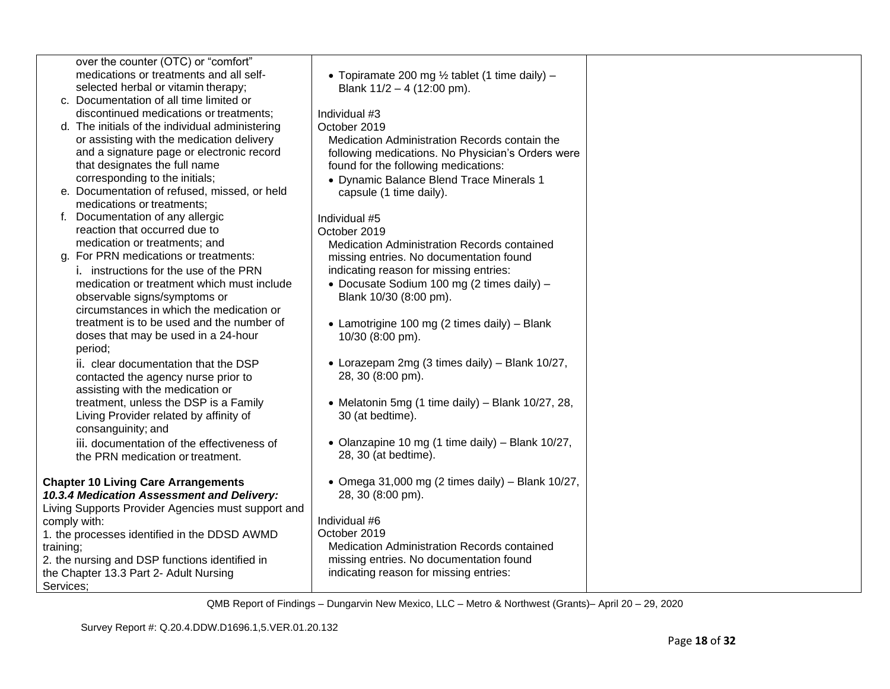|                        | over the counter (OTC) or "comfort"                                                                                                                                                                                                                                                                                                                                                                                                                                                                                                                                                                                                                                                                                                                             |                                                                                                                                                                                                                                                                                                                                                                                                                                                              |  |
|------------------------|-----------------------------------------------------------------------------------------------------------------------------------------------------------------------------------------------------------------------------------------------------------------------------------------------------------------------------------------------------------------------------------------------------------------------------------------------------------------------------------------------------------------------------------------------------------------------------------------------------------------------------------------------------------------------------------------------------------------------------------------------------------------|--------------------------------------------------------------------------------------------------------------------------------------------------------------------------------------------------------------------------------------------------------------------------------------------------------------------------------------------------------------------------------------------------------------------------------------------------------------|--|
|                        | medications or treatments and all self-                                                                                                                                                                                                                                                                                                                                                                                                                                                                                                                                                                                                                                                                                                                         | • Topiramate 200 mg $\frac{1}{2}$ tablet (1 time daily) –                                                                                                                                                                                                                                                                                                                                                                                                    |  |
|                        | selected herbal or vitamin therapy;                                                                                                                                                                                                                                                                                                                                                                                                                                                                                                                                                                                                                                                                                                                             | Blank $11/2 - 4$ (12:00 pm).                                                                                                                                                                                                                                                                                                                                                                                                                                 |  |
|                        | c. Documentation of all time limited or                                                                                                                                                                                                                                                                                                                                                                                                                                                                                                                                                                                                                                                                                                                         |                                                                                                                                                                                                                                                                                                                                                                                                                                                              |  |
|                        | discontinued medications or treatments;                                                                                                                                                                                                                                                                                                                                                                                                                                                                                                                                                                                                                                                                                                                         | Individual #3                                                                                                                                                                                                                                                                                                                                                                                                                                                |  |
|                        | d. The initials of the individual administering                                                                                                                                                                                                                                                                                                                                                                                                                                                                                                                                                                                                                                                                                                                 | October 2019                                                                                                                                                                                                                                                                                                                                                                                                                                                 |  |
|                        | or assisting with the medication delivery                                                                                                                                                                                                                                                                                                                                                                                                                                                                                                                                                                                                                                                                                                                       | Medication Administration Records contain the                                                                                                                                                                                                                                                                                                                                                                                                                |  |
|                        | and a signature page or electronic record                                                                                                                                                                                                                                                                                                                                                                                                                                                                                                                                                                                                                                                                                                                       | following medications. No Physician's Orders were                                                                                                                                                                                                                                                                                                                                                                                                            |  |
|                        | that designates the full name                                                                                                                                                                                                                                                                                                                                                                                                                                                                                                                                                                                                                                                                                                                                   | found for the following medications:                                                                                                                                                                                                                                                                                                                                                                                                                         |  |
|                        | corresponding to the initials;                                                                                                                                                                                                                                                                                                                                                                                                                                                                                                                                                                                                                                                                                                                                  | • Dynamic Balance Blend Trace Minerals 1                                                                                                                                                                                                                                                                                                                                                                                                                     |  |
|                        | e. Documentation of refused, missed, or held                                                                                                                                                                                                                                                                                                                                                                                                                                                                                                                                                                                                                                                                                                                    | capsule (1 time daily).                                                                                                                                                                                                                                                                                                                                                                                                                                      |  |
|                        | medications or treatments;                                                                                                                                                                                                                                                                                                                                                                                                                                                                                                                                                                                                                                                                                                                                      |                                                                                                                                                                                                                                                                                                                                                                                                                                                              |  |
|                        | f. Documentation of any allergic                                                                                                                                                                                                                                                                                                                                                                                                                                                                                                                                                                                                                                                                                                                                | Individual #5                                                                                                                                                                                                                                                                                                                                                                                                                                                |  |
|                        | reaction that occurred due to                                                                                                                                                                                                                                                                                                                                                                                                                                                                                                                                                                                                                                                                                                                                   | October 2019                                                                                                                                                                                                                                                                                                                                                                                                                                                 |  |
|                        | medication or treatments; and                                                                                                                                                                                                                                                                                                                                                                                                                                                                                                                                                                                                                                                                                                                                   | Medication Administration Records contained                                                                                                                                                                                                                                                                                                                                                                                                                  |  |
| g.                     | For PRN medications or treatments:                                                                                                                                                                                                                                                                                                                                                                                                                                                                                                                                                                                                                                                                                                                              | missing entries. No documentation found                                                                                                                                                                                                                                                                                                                                                                                                                      |  |
|                        | i. instructions for the use of the PRN                                                                                                                                                                                                                                                                                                                                                                                                                                                                                                                                                                                                                                                                                                                          | indicating reason for missing entries:                                                                                                                                                                                                                                                                                                                                                                                                                       |  |
|                        |                                                                                                                                                                                                                                                                                                                                                                                                                                                                                                                                                                                                                                                                                                                                                                 |                                                                                                                                                                                                                                                                                                                                                                                                                                                              |  |
|                        |                                                                                                                                                                                                                                                                                                                                                                                                                                                                                                                                                                                                                                                                                                                                                                 |                                                                                                                                                                                                                                                                                                                                                                                                                                                              |  |
|                        |                                                                                                                                                                                                                                                                                                                                                                                                                                                                                                                                                                                                                                                                                                                                                                 |                                                                                                                                                                                                                                                                                                                                                                                                                                                              |  |
|                        |                                                                                                                                                                                                                                                                                                                                                                                                                                                                                                                                                                                                                                                                                                                                                                 |                                                                                                                                                                                                                                                                                                                                                                                                                                                              |  |
|                        |                                                                                                                                                                                                                                                                                                                                                                                                                                                                                                                                                                                                                                                                                                                                                                 |                                                                                                                                                                                                                                                                                                                                                                                                                                                              |  |
|                        |                                                                                                                                                                                                                                                                                                                                                                                                                                                                                                                                                                                                                                                                                                                                                                 |                                                                                                                                                                                                                                                                                                                                                                                                                                                              |  |
|                        |                                                                                                                                                                                                                                                                                                                                                                                                                                                                                                                                                                                                                                                                                                                                                                 |                                                                                                                                                                                                                                                                                                                                                                                                                                                              |  |
|                        |                                                                                                                                                                                                                                                                                                                                                                                                                                                                                                                                                                                                                                                                                                                                                                 |                                                                                                                                                                                                                                                                                                                                                                                                                                                              |  |
|                        |                                                                                                                                                                                                                                                                                                                                                                                                                                                                                                                                                                                                                                                                                                                                                                 |                                                                                                                                                                                                                                                                                                                                                                                                                                                              |  |
|                        |                                                                                                                                                                                                                                                                                                                                                                                                                                                                                                                                                                                                                                                                                                                                                                 |                                                                                                                                                                                                                                                                                                                                                                                                                                                              |  |
|                        |                                                                                                                                                                                                                                                                                                                                                                                                                                                                                                                                                                                                                                                                                                                                                                 |                                                                                                                                                                                                                                                                                                                                                                                                                                                              |  |
|                        |                                                                                                                                                                                                                                                                                                                                                                                                                                                                                                                                                                                                                                                                                                                                                                 |                                                                                                                                                                                                                                                                                                                                                                                                                                                              |  |
|                        |                                                                                                                                                                                                                                                                                                                                                                                                                                                                                                                                                                                                                                                                                                                                                                 |                                                                                                                                                                                                                                                                                                                                                                                                                                                              |  |
|                        | iii. documentation of the effectiveness of                                                                                                                                                                                                                                                                                                                                                                                                                                                                                                                                                                                                                                                                                                                      | • Olanzapine 10 mg (1 time daily) – Blank $10/27$ ,                                                                                                                                                                                                                                                                                                                                                                                                          |  |
|                        | the PRN medication or treatment.                                                                                                                                                                                                                                                                                                                                                                                                                                                                                                                                                                                                                                                                                                                                |                                                                                                                                                                                                                                                                                                                                                                                                                                                              |  |
|                        |                                                                                                                                                                                                                                                                                                                                                                                                                                                                                                                                                                                                                                                                                                                                                                 |                                                                                                                                                                                                                                                                                                                                                                                                                                                              |  |
|                        |                                                                                                                                                                                                                                                                                                                                                                                                                                                                                                                                                                                                                                                                                                                                                                 |                                                                                                                                                                                                                                                                                                                                                                                                                                                              |  |
|                        |                                                                                                                                                                                                                                                                                                                                                                                                                                                                                                                                                                                                                                                                                                                                                                 | 28, 30 (8:00 pm).                                                                                                                                                                                                                                                                                                                                                                                                                                            |  |
|                        |                                                                                                                                                                                                                                                                                                                                                                                                                                                                                                                                                                                                                                                                                                                                                                 |                                                                                                                                                                                                                                                                                                                                                                                                                                                              |  |
|                        |                                                                                                                                                                                                                                                                                                                                                                                                                                                                                                                                                                                                                                                                                                                                                                 | Individual #6                                                                                                                                                                                                                                                                                                                                                                                                                                                |  |
|                        |                                                                                                                                                                                                                                                                                                                                                                                                                                                                                                                                                                                                                                                                                                                                                                 | October 2019                                                                                                                                                                                                                                                                                                                                                                                                                                                 |  |
|                        |                                                                                                                                                                                                                                                                                                                                                                                                                                                                                                                                                                                                                                                                                                                                                                 | Medication Administration Records contained                                                                                                                                                                                                                                                                                                                                                                                                                  |  |
|                        |                                                                                                                                                                                                                                                                                                                                                                                                                                                                                                                                                                                                                                                                                                                                                                 |                                                                                                                                                                                                                                                                                                                                                                                                                                                              |  |
|                        |                                                                                                                                                                                                                                                                                                                                                                                                                                                                                                                                                                                                                                                                                                                                                                 |                                                                                                                                                                                                                                                                                                                                                                                                                                                              |  |
|                        |                                                                                                                                                                                                                                                                                                                                                                                                                                                                                                                                                                                                                                                                                                                                                                 |                                                                                                                                                                                                                                                                                                                                                                                                                                                              |  |
| training;<br>Services; | medication or treatment which must include<br>observable signs/symptoms or<br>circumstances in which the medication or<br>treatment is to be used and the number of<br>doses that may be used in a 24-hour<br>period;<br>ii. clear documentation that the DSP<br>contacted the agency nurse prior to<br>assisting with the medication or<br>treatment, unless the DSP is a Family<br>Living Provider related by affinity of<br>consanguinity; and<br><b>Chapter 10 Living Care Arrangements</b><br>10.3.4 Medication Assessment and Delivery:<br>Living Supports Provider Agencies must support and<br>comply with:<br>1. the processes identified in the DDSD AWMD<br>2. the nursing and DSP functions identified in<br>the Chapter 13.3 Part 2- Adult Nursing | • Docusate Sodium 100 mg (2 times daily) -<br>Blank 10/30 (8:00 pm).<br>• Lamotrigine 100 mg (2 times daily) - Blank<br>10/30 (8:00 pm).<br>• Lorazepam 2mg (3 times daily) - Blank 10/27,<br>28, 30 (8:00 pm).<br>• Melatonin 5mg (1 time daily) - Blank 10/27, 28,<br>30 (at bedtime).<br>28, 30 (at bedtime).<br>• Omega 31,000 mg (2 times daily) – Blank $10/27$ ,<br>missing entries. No documentation found<br>indicating reason for missing entries: |  |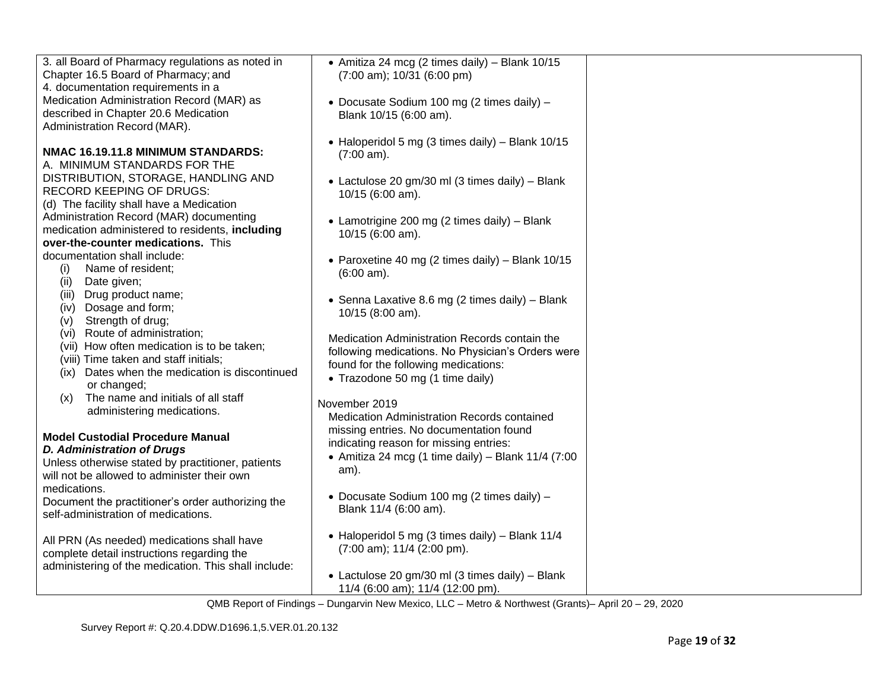| 3. all Board of Pharmacy regulations as noted in<br>Chapter 16.5 Board of Pharmacy; and<br>4. documentation requirements in a<br>Medication Administration Record (MAR) as<br>described in Chapter 20.6 Medication<br>Administration Record (MAR).                                                                                                                                                                                                                                                                                                                                                                                                                                                                                                                                                                                                                                                                                                                                                                                                                  | • Amitiza 24 mcg (2 times daily) - Blank 10/15<br>$(7:00 \text{ am})$ ; 10/31 (6:00 pm)<br>· Docusate Sodium 100 mg (2 times daily) -<br>Blank 10/15 (6:00 am).                                                                                                                                                                                                                                                                                                                                                                                                                                                                                                                                                                                                                                                                                                                                             |  |
|---------------------------------------------------------------------------------------------------------------------------------------------------------------------------------------------------------------------------------------------------------------------------------------------------------------------------------------------------------------------------------------------------------------------------------------------------------------------------------------------------------------------------------------------------------------------------------------------------------------------------------------------------------------------------------------------------------------------------------------------------------------------------------------------------------------------------------------------------------------------------------------------------------------------------------------------------------------------------------------------------------------------------------------------------------------------|-------------------------------------------------------------------------------------------------------------------------------------------------------------------------------------------------------------------------------------------------------------------------------------------------------------------------------------------------------------------------------------------------------------------------------------------------------------------------------------------------------------------------------------------------------------------------------------------------------------------------------------------------------------------------------------------------------------------------------------------------------------------------------------------------------------------------------------------------------------------------------------------------------------|--|
| NMAC 16.19.11.8 MINIMUM STANDARDS:<br>A. MINIMUM STANDARDS FOR THE<br>DISTRIBUTION, STORAGE, HANDLING AND<br>RECORD KEEPING OF DRUGS:<br>(d) The facility shall have a Medication<br>Administration Record (MAR) documenting<br>medication administered to residents, including<br>over-the-counter medications. This<br>documentation shall include:<br>Name of resident;<br>(i)<br>(ii)<br>Date given;<br>Drug product name;<br>(iii)<br>(iv) Dosage and form;<br>Strength of drug;<br>(V)<br>(vi) Route of administration;<br>(vii) How often medication is to be taken;<br>(viii) Time taken and staff initials;<br>Dates when the medication is discontinued<br>(ix)<br>or changed;<br>The name and initials of all staff<br>(x)<br>administering medications.<br><b>Model Custodial Procedure Manual</b><br><b>D. Administration of Drugs</b><br>Unless otherwise stated by practitioner, patients<br>will not be allowed to administer their own<br>medications.<br>Document the practitioner's order authorizing the<br>self-administration of medications. | • Haloperidol 5 mg (3 times daily) - Blank 10/15<br>$(7:00 \text{ am})$ .<br>• Lactulose 20 gm/30 ml (3 times daily) - Blank<br>10/15 (6:00 am).<br>• Lamotrigine 200 mg (2 times daily) – Blank<br>10/15 (6:00 am).<br>• Paroxetine 40 mg (2 times daily) – Blank $10/15$<br>$(6:00 \text{ am})$ .<br>• Senna Laxative 8.6 mg (2 times daily) - Blank<br>10/15 (8:00 am).<br>Medication Administration Records contain the<br>following medications. No Physician's Orders were<br>found for the following medications:<br>• Trazodone 50 mg (1 time daily)<br>November 2019<br>Medication Administration Records contained<br>missing entries. No documentation found<br>indicating reason for missing entries:<br>• Amitiza 24 mcg (1 time daily) - Blank $11/4$ (7:00<br>am).<br>• Docusate Sodium 100 mg (2 times daily) -<br>Blank 11/4 (6:00 am).<br>• Haloperidol 5 mg (3 times daily) - Blank 11/4 |  |
| All PRN (As needed) medications shall have<br>complete detail instructions regarding the<br>administering of the medication. This shall include:                                                                                                                                                                                                                                                                                                                                                                                                                                                                                                                                                                                                                                                                                                                                                                                                                                                                                                                    | $(7:00 \text{ am})$ ; 11/4 $(2:00 \text{ pm})$ .<br>• Lactulose 20 gm/30 ml (3 times daily) - Blank<br>11/4 (6:00 am); 11/4 (12:00 pm).<br>OMD Depart of Finalisms Divergentia New Mexico LLC Metro & Newthwest (Cropte) April 00, 00,000                                                                                                                                                                                                                                                                                                                                                                                                                                                                                                                                                                                                                                                                   |  |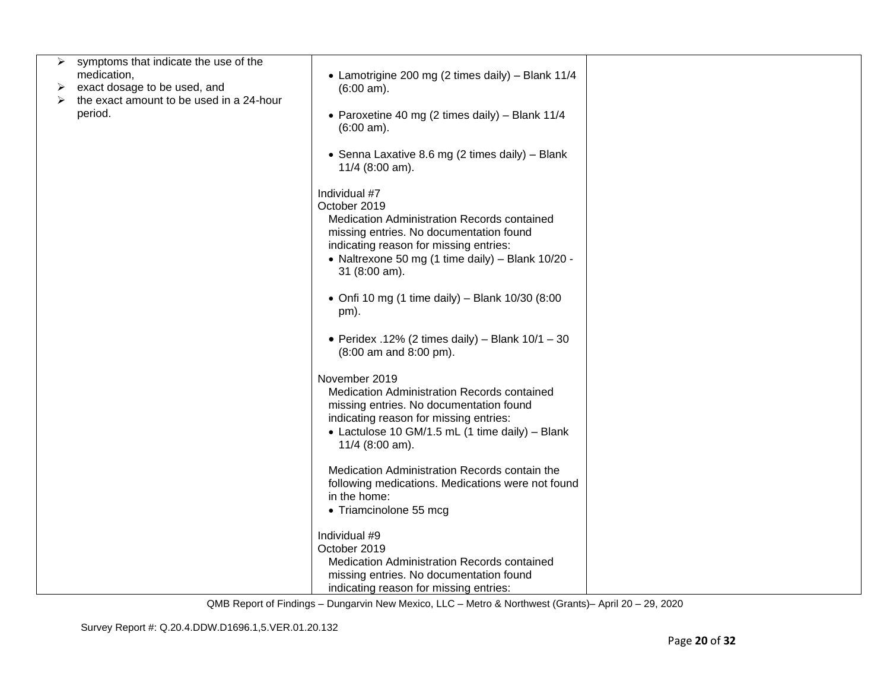|   | symptoms that indicate the use of the               |                                                                                                                                                                                                                                         |  |
|---|-----------------------------------------------------|-----------------------------------------------------------------------------------------------------------------------------------------------------------------------------------------------------------------------------------------|--|
|   | medication,                                         |                                                                                                                                                                                                                                         |  |
|   |                                                     | • Lamotrigine 200 mg (2 times daily) - Blank 11/4                                                                                                                                                                                       |  |
| ➤ | exact dosage to be used, and                        | $(6:00 \text{ am})$ .                                                                                                                                                                                                                   |  |
| ➤ | the exact amount to be used in a 24-hour<br>period. | • Paroxetine 40 mg (2 times daily) - Blank 11/4<br>$(6:00 \text{ am})$ .                                                                                                                                                                |  |
|   |                                                     | • Senna Laxative 8.6 mg (2 times daily) - Blank<br>11/4 (8:00 am).                                                                                                                                                                      |  |
|   |                                                     | Individual #7<br>October 2019<br>Medication Administration Records contained<br>missing entries. No documentation found<br>indicating reason for missing entries:<br>• Naltrexone 50 mg (1 time daily) - Blank 10/20 -<br>31 (8:00 am). |  |
|   |                                                     | • Onfi 10 mg (1 time daily) - Blank 10/30 (8:00<br>pm).                                                                                                                                                                                 |  |
|   |                                                     | • Peridex .12% (2 times daily) – Blank $10/1 - 30$<br>(8:00 am and 8:00 pm).                                                                                                                                                            |  |
|   |                                                     | November 2019<br>Medication Administration Records contained<br>missing entries. No documentation found<br>indicating reason for missing entries:<br>• Lactulose 10 GM/1.5 mL (1 time daily) - Blank<br>11/4 (8:00 am).                 |  |
|   |                                                     | Medication Administration Records contain the<br>following medications. Medications were not found<br>in the home:<br>• Triamcinolone 55 mcg                                                                                            |  |
|   |                                                     | Individual #9<br>October 2019<br>Medication Administration Records contained<br>missing entries. No documentation found<br>indicating reason for missing entries:                                                                       |  |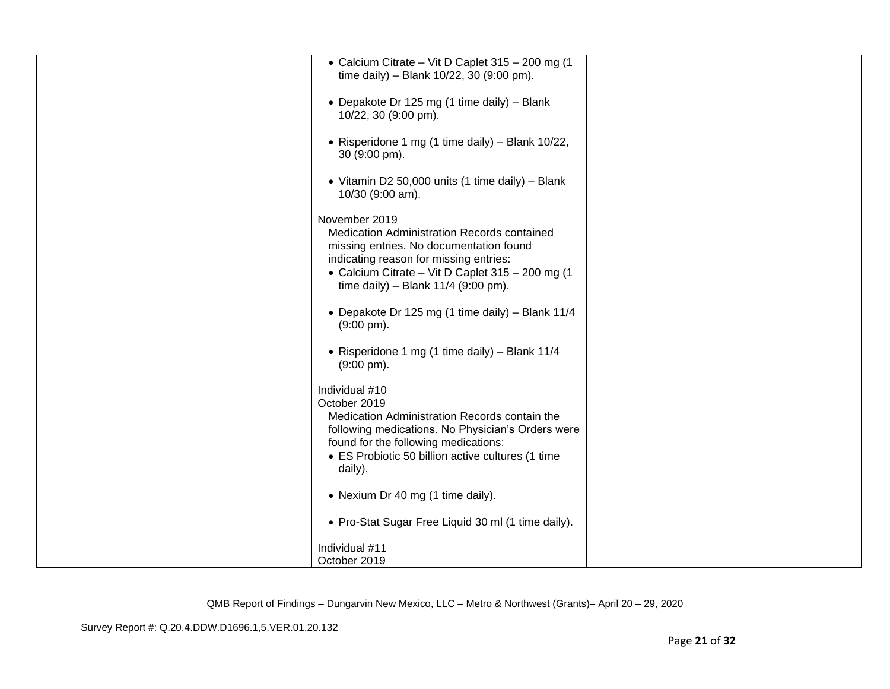| • Calcium Citrate - Vit D Caplet 315 - 200 mg (1<br>time daily) - Blank 10/22, 30 (9:00 pm).                                                                                                                                                   |  |
|------------------------------------------------------------------------------------------------------------------------------------------------------------------------------------------------------------------------------------------------|--|
| • Depakote Dr 125 mg (1 time daily) - Blank<br>10/22, 30 (9:00 pm).                                                                                                                                                                            |  |
| • Risperidone 1 mg (1 time daily) - Blank 10/22,<br>30 (9:00 pm).                                                                                                                                                                              |  |
| • Vitamin D2 50,000 units (1 time daily) - Blank<br>10/30 (9:00 am).                                                                                                                                                                           |  |
| November 2019<br>Medication Administration Records contained<br>missing entries. No documentation found<br>indicating reason for missing entries:<br>• Calcium Citrate - Vit D Caplet 315 - 200 mg (1<br>time daily) - Blank $11/4$ (9:00 pm). |  |
| • Depakote Dr 125 mg (1 time daily) - Blank 11/4<br>$(9:00 \text{ pm})$ .                                                                                                                                                                      |  |
| • Risperidone 1 mg (1 time daily) - Blank 11/4<br>$(9:00 \text{ pm})$ .                                                                                                                                                                        |  |
| Individual #10<br>October 2019<br>Medication Administration Records contain the<br>following medications. No Physician's Orders were<br>found for the following medications:<br>• ES Probiotic 50 billion active cultures (1 time<br>daily).   |  |
| • Nexium Dr 40 mg (1 time daily).                                                                                                                                                                                                              |  |
| • Pro-Stat Sugar Free Liquid 30 ml (1 time daily).                                                                                                                                                                                             |  |
| Individual #11<br>October 2019                                                                                                                                                                                                                 |  |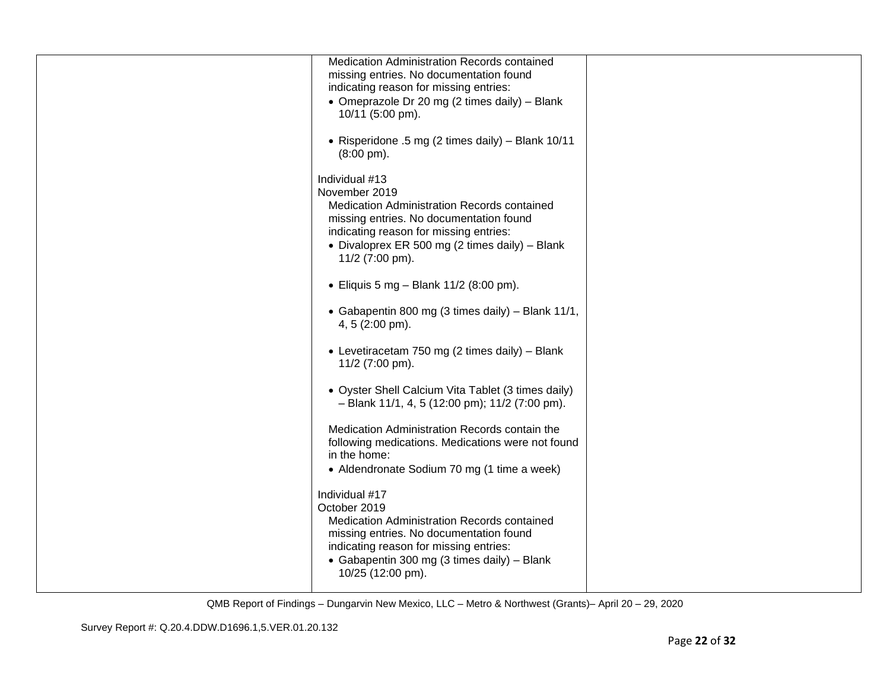| Medication Administration Records contained<br>missing entries. No documentation found<br>indicating reason for missing entries:<br>• Omeprazole Dr 20 mg (2 times daily) - Blank<br>10/11 (5:00 pm).                                    |  |
|------------------------------------------------------------------------------------------------------------------------------------------------------------------------------------------------------------------------------------------|--|
| • Risperidone .5 mg (2 times daily) - Blank 10/11<br>$(8:00 \text{ pm})$ .                                                                                                                                                               |  |
| Individual #13<br>November 2019<br>Medication Administration Records contained<br>missing entries. No documentation found<br>indicating reason for missing entries:<br>• Divaloprex ER 500 mg (2 times daily) - Blank<br>11/2 (7:00 pm). |  |
| • Eliquis 5 mg - Blank 11/2 (8:00 pm).                                                                                                                                                                                                   |  |
| • Gabapentin 800 mg (3 times daily) - Blank 11/1,<br>4, 5 (2:00 pm).                                                                                                                                                                     |  |
| • Levetiracetam 750 mg (2 times daily) – Blank<br>11/2 (7:00 pm).                                                                                                                                                                        |  |
| • Oyster Shell Calcium Vita Tablet (3 times daily)<br>$-$ Blank 11/1, 4, 5 (12:00 pm); 11/2 (7:00 pm).                                                                                                                                   |  |
| Medication Administration Records contain the<br>following medications. Medications were not found<br>in the home:<br>• Aldendronate Sodium 70 mg (1 time a week)                                                                        |  |
| Individual #17<br>October 2019<br>Medication Administration Records contained<br>missing entries. No documentation found<br>indicating reason for missing entries:<br>• Gabapentin 300 mg (3 times daily) - Blank<br>10/25 (12:00 pm).   |  |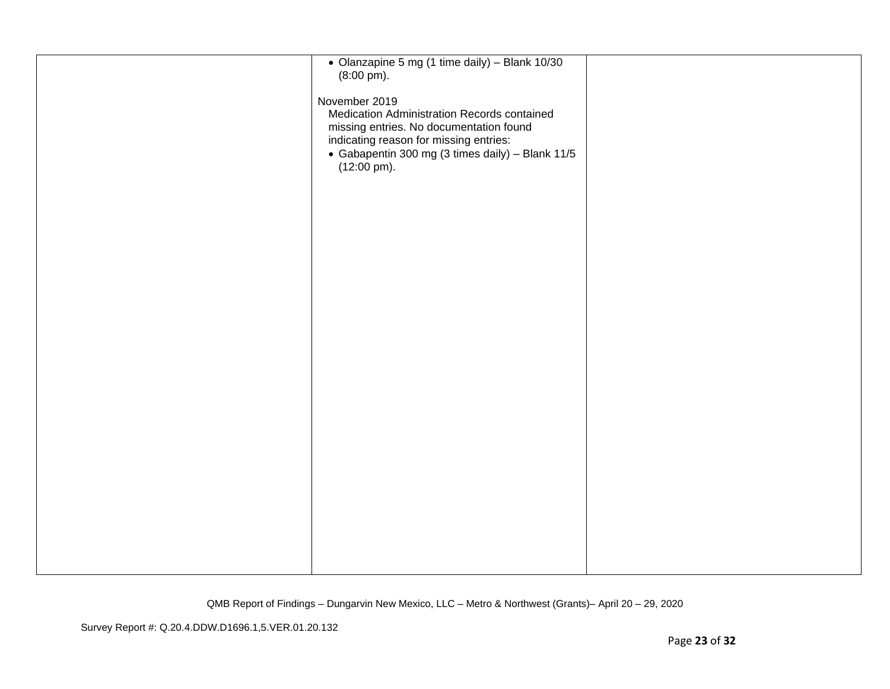| • Olanzapine 5 mg (1 time daily) - Blank 10/30<br>$(8:00 \text{ pm})$ .                                                                                                                                                         |  |
|---------------------------------------------------------------------------------------------------------------------------------------------------------------------------------------------------------------------------------|--|
| November 2019<br>Medication Administration Records contained<br>missing entries. No documentation found<br>indicating reason for missing entries:<br>• Gabapentin 300 mg (3 times daily) - Blank 11/5<br>$(12:00 \text{ pm})$ . |  |
|                                                                                                                                                                                                                                 |  |
|                                                                                                                                                                                                                                 |  |
|                                                                                                                                                                                                                                 |  |
|                                                                                                                                                                                                                                 |  |
|                                                                                                                                                                                                                                 |  |
|                                                                                                                                                                                                                                 |  |
|                                                                                                                                                                                                                                 |  |
|                                                                                                                                                                                                                                 |  |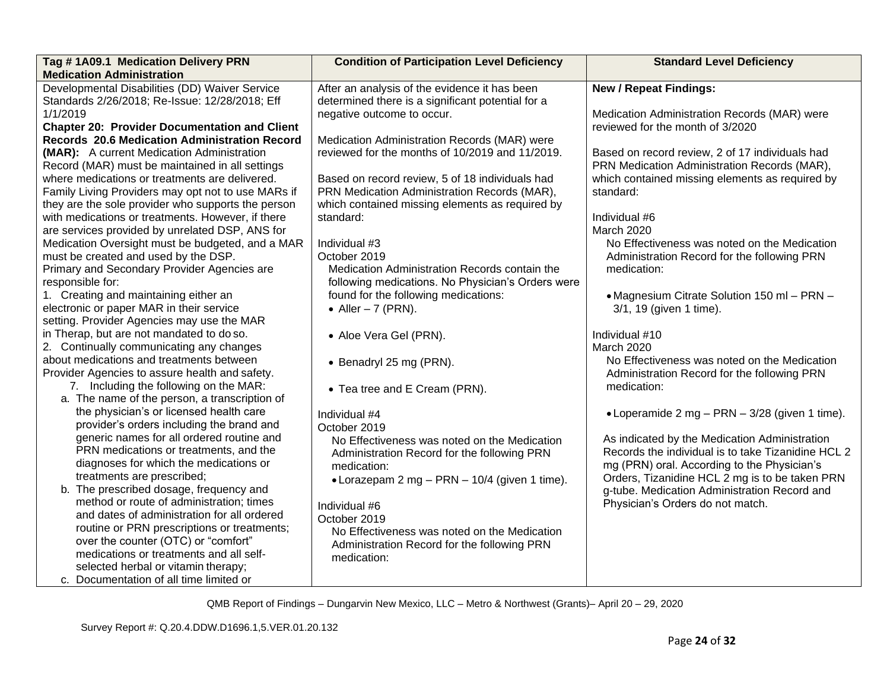| Tag #1A09.1 Medication Delivery PRN<br><b>Medication Administration</b>                                                                                                                                                                                                                                                                                                                                                                                                                                                                                                                                      | <b>Condition of Participation Level Deficiency</b>                                                                                                                                                                                                                                                                                             | <b>Standard Level Deficiency</b>                                                                                                                                                                                                                                                                                                               |
|--------------------------------------------------------------------------------------------------------------------------------------------------------------------------------------------------------------------------------------------------------------------------------------------------------------------------------------------------------------------------------------------------------------------------------------------------------------------------------------------------------------------------------------------------------------------------------------------------------------|------------------------------------------------------------------------------------------------------------------------------------------------------------------------------------------------------------------------------------------------------------------------------------------------------------------------------------------------|------------------------------------------------------------------------------------------------------------------------------------------------------------------------------------------------------------------------------------------------------------------------------------------------------------------------------------------------|
| Developmental Disabilities (DD) Waiver Service<br>Standards 2/26/2018; Re-Issue: 12/28/2018; Eff<br>1/1/2019<br><b>Chapter 20: Provider Documentation and Client</b><br>Records 20.6 Medication Administration Record<br>(MAR): A current Medication Administration<br>Record (MAR) must be maintained in all settings                                                                                                                                                                                                                                                                                       | After an analysis of the evidence it has been<br>determined there is a significant potential for a<br>negative outcome to occur.<br>Medication Administration Records (MAR) were<br>reviewed for the months of 10/2019 and 11/2019.                                                                                                            | <b>New / Repeat Findings:</b><br>Medication Administration Records (MAR) were<br>reviewed for the month of 3/2020<br>Based on record review, 2 of 17 individuals had<br>PRN Medication Administration Records (MAR),                                                                                                                           |
| where medications or treatments are delivered.<br>Family Living Providers may opt not to use MARs if<br>they are the sole provider who supports the person<br>with medications or treatments. However, if there<br>are services provided by unrelated DSP, ANS for<br>Medication Oversight must be budgeted, and a MAR<br>must be created and used by the DSP.<br>Primary and Secondary Provider Agencies are<br>responsible for:<br>1. Creating and maintaining either an                                                                                                                                   | Based on record review, 5 of 18 individuals had<br>PRN Medication Administration Records (MAR),<br>which contained missing elements as required by<br>standard:<br>Individual #3<br>October 2019<br>Medication Administration Records contain the<br>following medications. No Physician's Orders were<br>found for the following medications: | which contained missing elements as required by<br>standard:<br>Individual #6<br>March 2020<br>No Effectiveness was noted on the Medication<br>Administration Record for the following PRN<br>medication:<br>• Magnesium Citrate Solution 150 ml - PRN -                                                                                       |
| electronic or paper MAR in their service<br>setting. Provider Agencies may use the MAR<br>in Therap, but are not mandated to do so.<br>2. Continually communicating any changes<br>about medications and treatments between<br>Provider Agencies to assure health and safety.<br>7. Including the following on the MAR:<br>a. The name of the person, a transcription of                                                                                                                                                                                                                                     | • Aller $-7$ (PRN).<br>• Aloe Vera Gel (PRN).<br>• Benadryl 25 mg (PRN).<br>• Tea tree and E Cream (PRN).                                                                                                                                                                                                                                      | 3/1, 19 (given 1 time).<br>Individual #10<br>March 2020<br>No Effectiveness was noted on the Medication<br>Administration Record for the following PRN<br>medication:                                                                                                                                                                          |
| the physician's or licensed health care<br>provider's orders including the brand and<br>generic names for all ordered routine and<br>PRN medications or treatments, and the<br>diagnoses for which the medications or<br>treatments are prescribed;<br>b. The prescribed dosage, frequency and<br>method or route of administration; times<br>and dates of administration for all ordered<br>routine or PRN prescriptions or treatments;<br>over the counter (OTC) or "comfort"<br>medications or treatments and all self-<br>selected herbal or vitamin therapy;<br>c. Documentation of all time limited or | Individual #4<br>October 2019<br>No Effectiveness was noted on the Medication<br>Administration Record for the following PRN<br>medication:<br>• Lorazepam 2 mg - PRN - 10/4 (given 1 time).<br>Individual #6<br>October 2019<br>No Effectiveness was noted on the Medication<br>Administration Record for the following PRN<br>medication:    | • Loperamide 2 mg $-$ PRN $-$ 3/28 (given 1 time).<br>As indicated by the Medication Administration<br>Records the individual is to take Tizanidine HCL 2<br>mg (PRN) oral. According to the Physician's<br>Orders, Tizanidine HCL 2 mg is to be taken PRN<br>g-tube. Medication Administration Record and<br>Physician's Orders do not match. |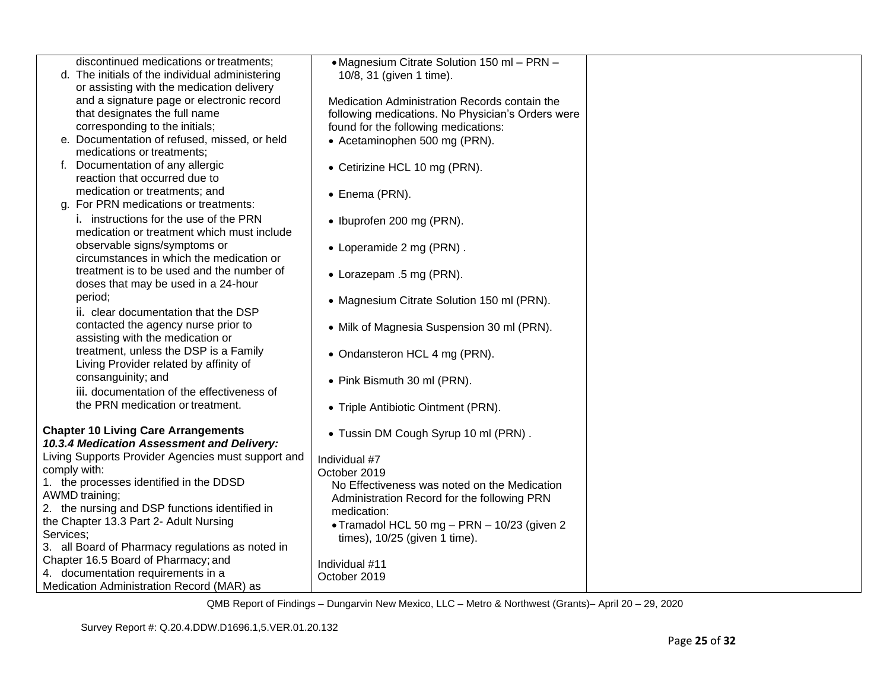| discontinued medications or treatments;                                                  | • Magnesium Citrate Solution 150 ml - PRN -       |  |
|------------------------------------------------------------------------------------------|---------------------------------------------------|--|
| d. The initials of the individual administering                                          | 10/8, 31 (given 1 time).                          |  |
| or assisting with the medication delivery<br>and a signature page or electronic record   | Medication Administration Records contain the     |  |
| that designates the full name                                                            | following medications. No Physician's Orders were |  |
| corresponding to the initials;                                                           | found for the following medications:              |  |
| e. Documentation of refused, missed, or held                                             | • Acetaminophen 500 mg (PRN).                     |  |
| medications or treatments;                                                               |                                                   |  |
| f. Documentation of any allergic<br>reaction that occurred due to                        | • Cetirizine HCL 10 mg (PRN).                     |  |
| medication or treatments; and<br>g. For PRN medications or treatments:                   | • Enema (PRN).                                    |  |
| i. instructions for the use of the PRN                                                   | • Ibuprofen 200 mg (PRN).                         |  |
| medication or treatment which must include<br>observable signs/symptoms or               |                                                   |  |
| circumstances in which the medication or                                                 | • Loperamide 2 mg (PRN).                          |  |
| treatment is to be used and the number of                                                | • Lorazepam .5 mg (PRN).                          |  |
| doses that may be used in a 24-hour                                                      |                                                   |  |
| period;<br>ii. clear documentation that the DSP                                          | • Magnesium Citrate Solution 150 ml (PRN).        |  |
| contacted the agency nurse prior to                                                      | • Milk of Magnesia Suspension 30 ml (PRN).        |  |
| assisting with the medication or                                                         |                                                   |  |
| treatment, unless the DSP is a Family                                                    | • Ondansteron HCL 4 mg (PRN).                     |  |
| Living Provider related by affinity of                                                   |                                                   |  |
| consanguinity; and                                                                       | • Pink Bismuth 30 ml (PRN).                       |  |
| iii. documentation of the effectiveness of                                               |                                                   |  |
| the PRN medication or treatment.                                                         | • Triple Antibiotic Ointment (PRN).               |  |
| <b>Chapter 10 Living Care Arrangements</b><br>10.3.4 Medication Assessment and Delivery: | • Tussin DM Cough Syrup 10 ml (PRN).              |  |
| Living Supports Provider Agencies must support and                                       | Individual #7                                     |  |
| comply with:                                                                             | October 2019                                      |  |
| 1. the processes identified in the DDSD                                                  | No Effectiveness was noted on the Medication      |  |
| AWMD training;                                                                           | Administration Record for the following PRN       |  |
| 2. the nursing and DSP functions identified in                                           | medication:                                       |  |
| the Chapter 13.3 Part 2- Adult Nursing<br>Services;                                      | • Tramadol HCL 50 mg - PRN - 10/23 (given 2       |  |
| 3. all Board of Pharmacy regulations as noted in                                         | times), 10/25 (given 1 time).                     |  |
| Chapter 16.5 Board of Pharmacy; and                                                      | Individual #11                                    |  |
| 4. documentation requirements in a                                                       | October 2019                                      |  |
| Medication Administration Record (MAR) as                                                |                                                   |  |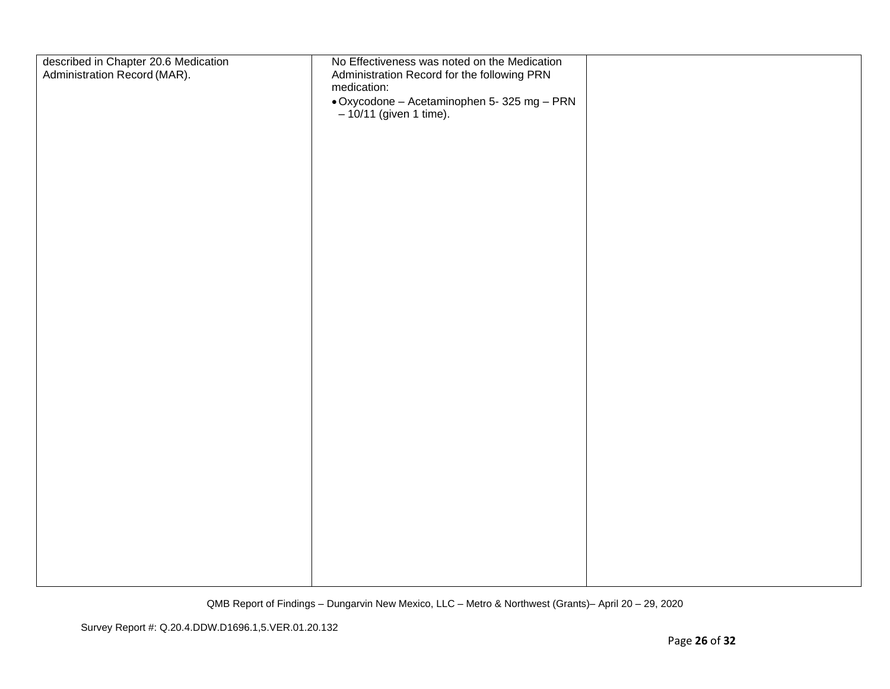| described in Chapter 20.6 Medication<br>Administration Record (MAR). | No Effectiveness was noted on the Medication<br>Administration Record for the following PRN<br>medication: |  |
|----------------------------------------------------------------------|------------------------------------------------------------------------------------------------------------|--|
|                                                                      | • Oxycodone – Acetaminophen 5- 325 mg – PRN<br>– 10/11 (given 1 time).                                     |  |
|                                                                      |                                                                                                            |  |
|                                                                      |                                                                                                            |  |
|                                                                      |                                                                                                            |  |
|                                                                      |                                                                                                            |  |
|                                                                      |                                                                                                            |  |
|                                                                      |                                                                                                            |  |
|                                                                      |                                                                                                            |  |
|                                                                      |                                                                                                            |  |
|                                                                      |                                                                                                            |  |
|                                                                      |                                                                                                            |  |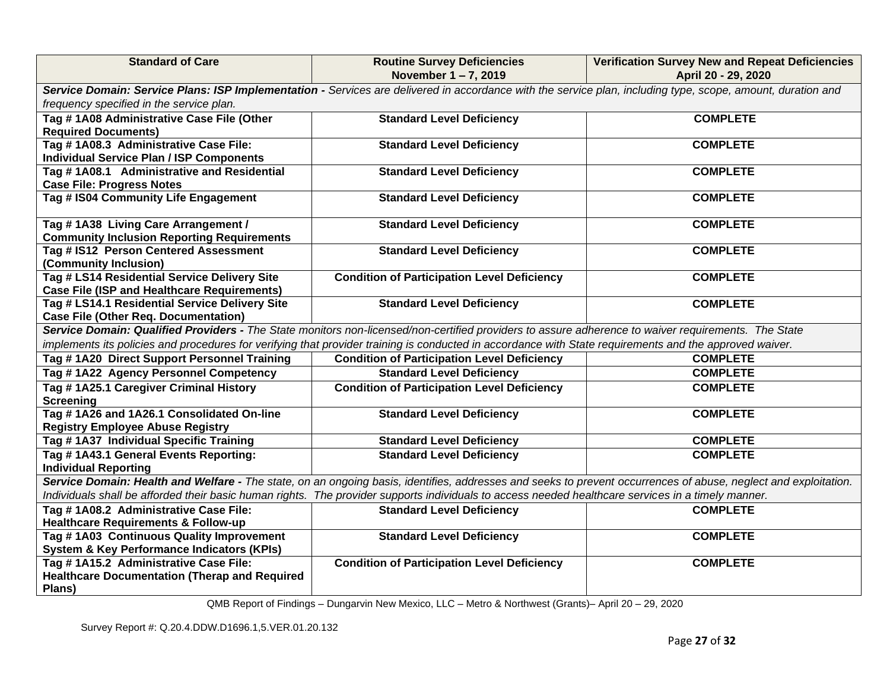| <b>Standard of Care</b>                                                           | <b>Routine Survey Deficiencies</b>                                                                                                                              | <b>Verification Survey New and Repeat Deficiencies</b> |  |  |
|-----------------------------------------------------------------------------------|-----------------------------------------------------------------------------------------------------------------------------------------------------------------|--------------------------------------------------------|--|--|
|                                                                                   | November 1-7, 2019                                                                                                                                              | April 20 - 29, 2020                                    |  |  |
|                                                                                   | Service Domain: Service Plans: ISP Implementation - Services are delivered in accordance with the service plan, including type, scope, amount, duration and     |                                                        |  |  |
| frequency specified in the service plan.                                          |                                                                                                                                                                 |                                                        |  |  |
| Tag #1A08 Administrative Case File (Other                                         | <b>Standard Level Deficiency</b>                                                                                                                                | <b>COMPLETE</b>                                        |  |  |
| <b>Required Documents)</b>                                                        |                                                                                                                                                                 |                                                        |  |  |
| Tag # 1A08.3 Administrative Case File:                                            | <b>Standard Level Deficiency</b>                                                                                                                                | <b>COMPLETE</b>                                        |  |  |
| <b>Individual Service Plan / ISP Components</b>                                   |                                                                                                                                                                 |                                                        |  |  |
| Tag #1A08.1 Administrative and Residential                                        | <b>Standard Level Deficiency</b>                                                                                                                                | <b>COMPLETE</b>                                        |  |  |
| <b>Case File: Progress Notes</b>                                                  |                                                                                                                                                                 |                                                        |  |  |
| Tag # IS04 Community Life Engagement                                              | <b>Standard Level Deficiency</b>                                                                                                                                | <b>COMPLETE</b>                                        |  |  |
| Tag #1A38 Living Care Arrangement /                                               | <b>Standard Level Deficiency</b>                                                                                                                                | <b>COMPLETE</b>                                        |  |  |
| <b>Community Inclusion Reporting Requirements</b>                                 |                                                                                                                                                                 |                                                        |  |  |
| Tag # IS12 Person Centered Assessment                                             | <b>Standard Level Deficiency</b>                                                                                                                                | <b>COMPLETE</b>                                        |  |  |
| (Community Inclusion)                                                             |                                                                                                                                                                 |                                                        |  |  |
| Tag # LS14 Residential Service Delivery Site                                      | <b>Condition of Participation Level Deficiency</b>                                                                                                              | <b>COMPLETE</b>                                        |  |  |
| <b>Case File (ISP and Healthcare Requirements)</b>                                |                                                                                                                                                                 |                                                        |  |  |
| Tag # LS14.1 Residential Service Delivery Site                                    | <b>Standard Level Deficiency</b>                                                                                                                                | <b>COMPLETE</b>                                        |  |  |
| <b>Case File (Other Req. Documentation)</b>                                       |                                                                                                                                                                 |                                                        |  |  |
|                                                                                   | Service Domain: Qualified Providers - The State monitors non-licensed/non-certified providers to assure adherence to waiver requirements. The State             |                                                        |  |  |
|                                                                                   | implements its policies and procedures for verifying that provider training is conducted in accordance with State requirements and the approved waiver.         |                                                        |  |  |
| Tag #1A20 Direct Support Personnel Training                                       | <b>Condition of Participation Level Deficiency</b>                                                                                                              | <b>COMPLETE</b>                                        |  |  |
| Tag #1A22 Agency Personnel Competency                                             | <b>Standard Level Deficiency</b>                                                                                                                                | <b>COMPLETE</b>                                        |  |  |
| Tag #1A25.1 Caregiver Criminal History                                            | <b>Condition of Participation Level Deficiency</b>                                                                                                              | <b>COMPLETE</b>                                        |  |  |
| <b>Screening</b>                                                                  |                                                                                                                                                                 |                                                        |  |  |
| Tag #1A26 and 1A26.1 Consolidated On-line                                         | <b>Standard Level Deficiency</b>                                                                                                                                | <b>COMPLETE</b>                                        |  |  |
| <b>Registry Employee Abuse Registry</b><br>Tag #1A37 Individual Specific Training | <b>Standard Level Deficiency</b>                                                                                                                                | <b>COMPLETE</b>                                        |  |  |
|                                                                                   |                                                                                                                                                                 | <b>COMPLETE</b>                                        |  |  |
| Tag #1A43.1 General Events Reporting:<br><b>Individual Reporting</b>              | <b>Standard Level Deficiency</b>                                                                                                                                |                                                        |  |  |
|                                                                                   | Service Domain: Health and Welfare - The state, on an ongoing basis, identifies, addresses and seeks to prevent occurrences of abuse, neglect and exploitation. |                                                        |  |  |
|                                                                                   | Individuals shall be afforded their basic human rights. The provider supports individuals to access needed healthcare services in a timely manner.              |                                                        |  |  |
| Tag #1A08.2 Administrative Case File:                                             | <b>Standard Level Deficiency</b>                                                                                                                                | <b>COMPLETE</b>                                        |  |  |
| <b>Healthcare Requirements &amp; Follow-up</b>                                    |                                                                                                                                                                 |                                                        |  |  |
| Tag #1A03 Continuous Quality Improvement                                          | <b>Standard Level Deficiency</b>                                                                                                                                | <b>COMPLETE</b>                                        |  |  |
| <b>System &amp; Key Performance Indicators (KPIs)</b>                             |                                                                                                                                                                 |                                                        |  |  |
| Tag #1A15.2 Administrative Case File:                                             | <b>Condition of Participation Level Deficiency</b>                                                                                                              | <b>COMPLETE</b>                                        |  |  |
| <b>Healthcare Documentation (Therap and Required</b>                              |                                                                                                                                                                 |                                                        |  |  |
| Plans)                                                                            |                                                                                                                                                                 |                                                        |  |  |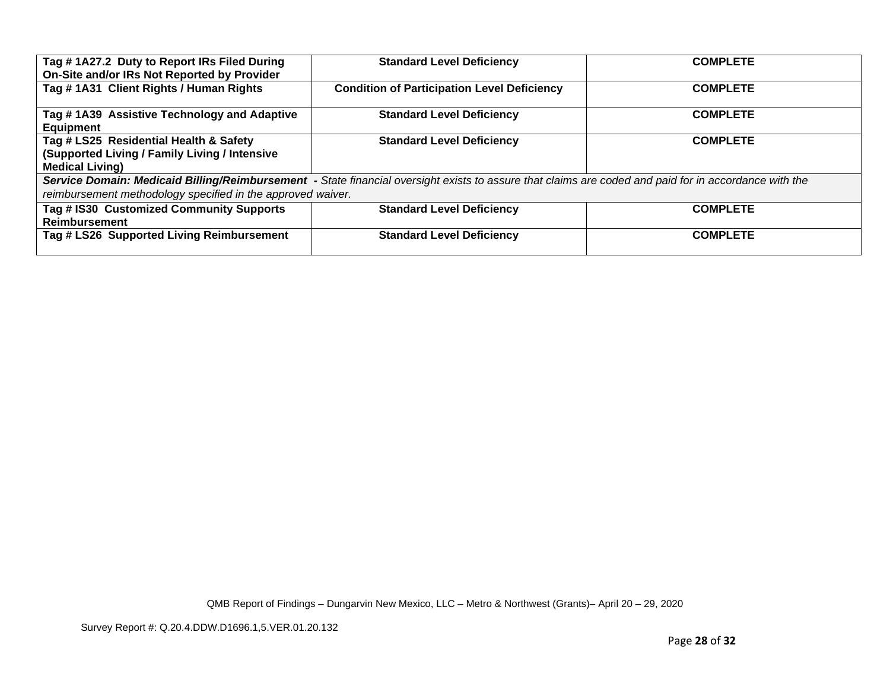| On-Site and/or IRs Not Reported by Provider                                                                                                           | <b>Standard Level Deficiency</b>                   | <b>COMPLETE</b> |
|-------------------------------------------------------------------------------------------------------------------------------------------------------|----------------------------------------------------|-----------------|
| Tag #1A31 Client Rights / Human Rights                                                                                                                | <b>Condition of Participation Level Deficiency</b> | <b>COMPLETE</b> |
| Tag #1A39 Assistive Technology and Adaptive<br>Equipment                                                                                              | <b>Standard Level Deficiency</b>                   | <b>COMPLETE</b> |
| Tag # LS25 Residential Health & Safety                                                                                                                | <b>Standard Level Deficiency</b>                   | <b>COMPLETE</b> |
| <b>(Supported Living / Family Living / Intensive</b>                                                                                                  |                                                    |                 |
| <b>Medical Living)</b>                                                                                                                                |                                                    |                 |
| Service Domain: Medicaid Billing/Reimbursement - State financial oversight exists to assure that claims are coded and paid for in accordance with the |                                                    |                 |
| reimbursement methodology specified in the approved waiver.                                                                                           |                                                    |                 |
| Tag # IS30 Customized Community Supports                                                                                                              | <b>Standard Level Deficiency</b>                   | <b>COMPLETE</b> |
| Reimbursement                                                                                                                                         |                                                    |                 |
| Tag # LS26 Supported Living Reimbursement                                                                                                             | <b>Standard Level Deficiency</b>                   | <b>COMPLETE</b> |
|                                                                                                                                                       |                                                    |                 |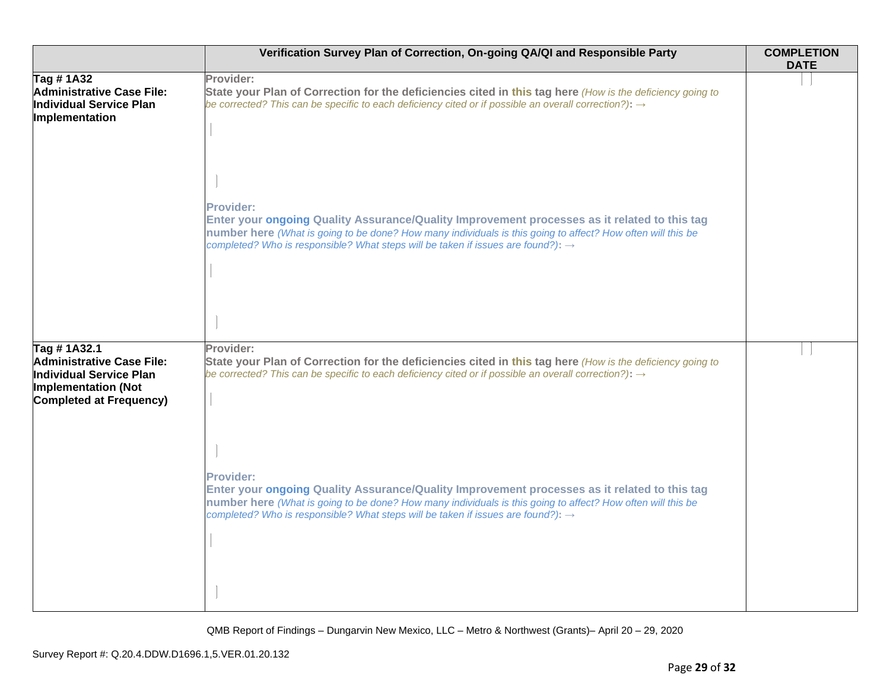|                                                                                                                              | Verification Survey Plan of Correction, On-going QA/QI and Responsible Party                                                                                                                                                                                                                                                    | <b>COMPLETION</b><br><b>DATE</b> |
|------------------------------------------------------------------------------------------------------------------------------|---------------------------------------------------------------------------------------------------------------------------------------------------------------------------------------------------------------------------------------------------------------------------------------------------------------------------------|----------------------------------|
| Tag # 1A32<br>Administrative Case File:<br>Individual Service Plan<br>Implementation                                         | Provider:<br>State your Plan of Correction for the deficiencies cited in this tag here (How is the deficiency going to<br>be corrected? This can be specific to each deficiency cited or if possible an overall correction?): $\rightarrow$                                                                                     |                                  |
|                                                                                                                              | <b>Provider:</b><br>Enter your ongoing Quality Assurance/Quality Improvement processes as it related to this tag<br>number here (What is going to be done? How many individuals is this going to affect? How often will this be<br>completed? Who is responsible? What steps will be taken if issues are found?): $\rightarrow$ |                                  |
| Tag #1A32.1<br>Administrative Case File:<br>Individual Service Plan<br>Implementation (Not<br><b>Completed at Frequency)</b> | Provider:<br>State your Plan of Correction for the deficiencies cited in this tag here (How is the deficiency going to<br>be corrected? This can be specific to each deficiency cited or if possible an overall correction?): $\rightarrow$                                                                                     |                                  |
|                                                                                                                              | <b>Provider:</b><br>Enter your ongoing Quality Assurance/Quality Improvement processes as it related to this tag<br>number here (What is going to be done? How many individuals is this going to affect? How often will this be<br>completed? Who is responsible? What steps will be taken if issues are found?): $\rightarrow$ |                                  |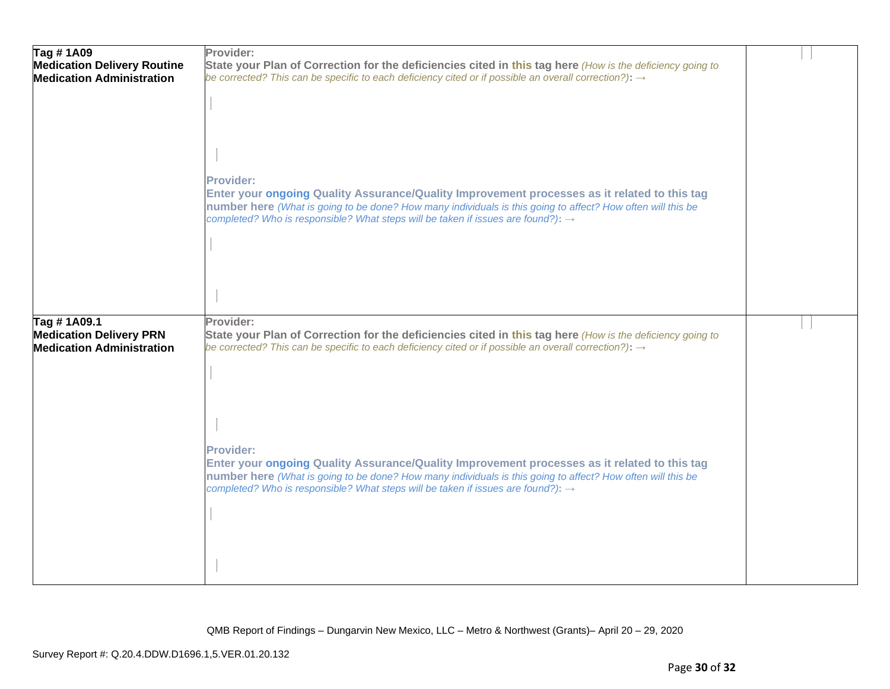| Tag #1A09<br><b>Medication Delivery Routine</b>                                   | Provider:<br>State your Plan of Correction for the deficiencies cited in this tag here (How is the deficiency going to                                                                                                                                                                                                          |  |
|-----------------------------------------------------------------------------------|---------------------------------------------------------------------------------------------------------------------------------------------------------------------------------------------------------------------------------------------------------------------------------------------------------------------------------|--|
| <b>Medication Administration</b>                                                  | be corrected? This can be specific to each deficiency cited or if possible an overall correction?): $\rightarrow$                                                                                                                                                                                                               |  |
|                                                                                   | Provider:<br>Enter your ongoing Quality Assurance/Quality Improvement processes as it related to this tag<br>number here (What is going to be done? How many individuals is this going to affect? How often will this be<br>completed? Who is responsible? What steps will be taken if issues are found?): →                    |  |
| Tag #1A09.1<br><b>Medication Delivery PRN</b><br><b>Medication Administration</b> | Provider:<br>State your Plan of Correction for the deficiencies cited in this tag here (How is the deficiency going to<br>be corrected? This can be specific to each deficiency cited or if possible an overall correction?): $\rightarrow$                                                                                     |  |
|                                                                                   | <b>Provider:</b><br>Enter your ongoing Quality Assurance/Quality Improvement processes as it related to this tag<br>number here (What is going to be done? How many individuals is this going to affect? How often will this be<br>completed? Who is responsible? What steps will be taken if issues are found?): $\rightarrow$ |  |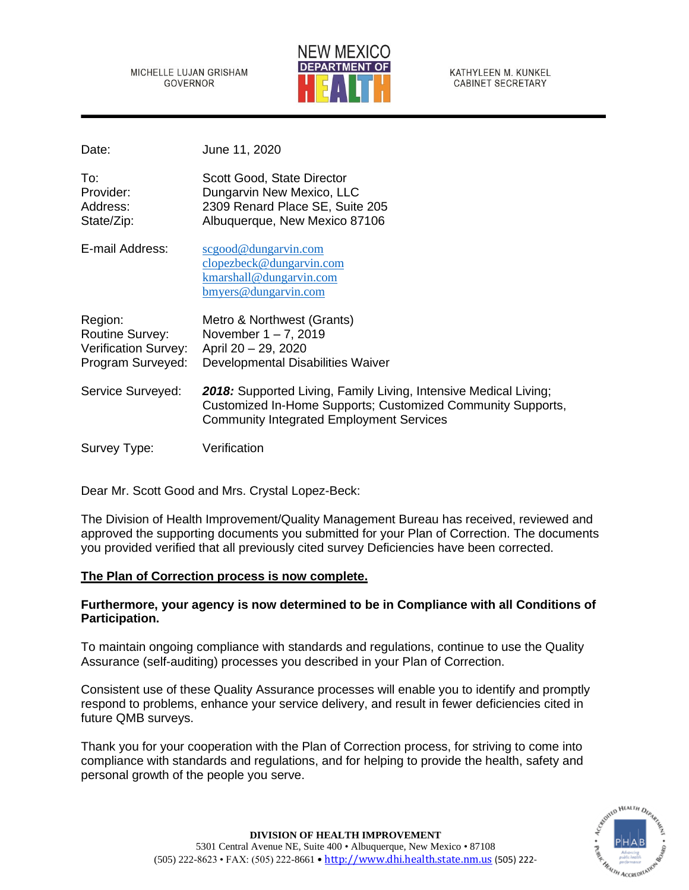MICHELLE LUJAN GRISHAM **GOVERNOR** 



KATHYLEEN M. KUNKEL **CABINET SECRETARY** 

Date: June 11, 2020

| To:<br>Provider:<br>Address:<br>State/Zip:                                     | Scott Good, State Director<br>Dungarvin New Mexico, LLC<br>2309 Renard Place SE, Suite 205<br>Albuquerque, New Mexico 87106                                                        |
|--------------------------------------------------------------------------------|------------------------------------------------------------------------------------------------------------------------------------------------------------------------------------|
| E-mail Address:                                                                | scgood@dungarvin.com<br>clopezbeck@dungarvin.com<br>kmarshall@dungarvin.com<br>bmyers@dungarvin.com                                                                                |
| Region:<br><b>Routine Survey:</b><br>Verification Survey:<br>Program Surveyed: | Metro & Northwest (Grants)<br>November $1 - 7$ , 2019<br>April 20 - 29, 2020<br>Developmental Disabilities Waiver                                                                  |
| Service Surveyed:                                                              | 2018: Supported Living, Family Living, Intensive Medical Living;<br>Customized In-Home Supports; Customized Community Supports,<br><b>Community Integrated Employment Services</b> |
| Survey Type:                                                                   | Verification                                                                                                                                                                       |

Dear Mr. Scott Good and Mrs. Crystal Lopez-Beck:

The Division of Health Improvement/Quality Management Bureau has received, reviewed and approved the supporting documents you submitted for your Plan of Correction. The documents you provided verified that all previously cited survey Deficiencies have been corrected.

# **The Plan of Correction process is now complete.**

# **Furthermore, your agency is now determined to be in Compliance with all Conditions of Participation.**

To maintain ongoing compliance with standards and regulations, continue to use the Quality Assurance (self-auditing) processes you described in your Plan of Correction.

Consistent use of these Quality Assurance processes will enable you to identify and promptly respond to problems, enhance your service delivery, and result in fewer deficiencies cited in future QMB surveys.

Thank you for your cooperation with the Plan of Correction process, for striving to come into compliance with standards and regulations, and for helping to provide the health, safety and personal growth of the people you serve.